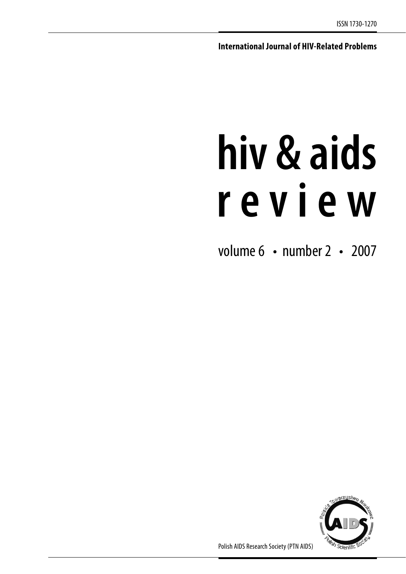**International Journal of HIV-Related Problems**

# **hiv & aids r e v i e w**

volume 6 • number 2 • 2007



Polish AIDS Research Society (PTN AIDS)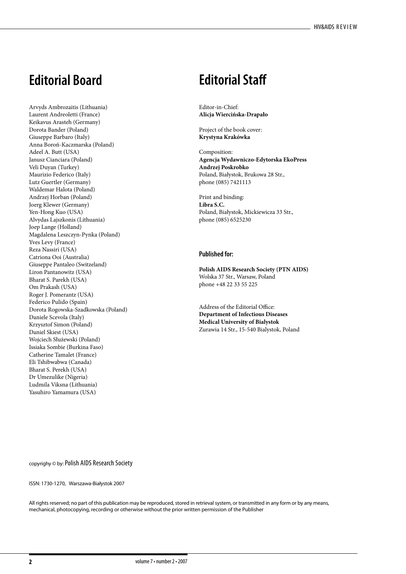### **Editorial Board Editorial Staff**

Arvyds Ambrozaitis (Lithuania) Laurent Andreoletti (France) Keikavus Arasteh (Germany) Dorota Bander (Poland) Giuseppe Barbaro (Italy) Anna Boroń-Kaczmarska (Poland) Adeel A. Butt (USA) Janusz Cianciara (Poland) Veli Duyan (Turkey) Maurizio Federico (Italy) Lutz Guertler (Germany) Waldemar Halota (Poland) Andrzej Horban (Poland) Joerg Klewer (Germany) Yen-Hong Kuo (USA) Alvydas Lajszkonis (Lithuania) Joep Lange (Holland) Magdalena Leszczyn-Pynka (Poland) Yves Levy (France) Reza Nassiri (USA) Catriona Ooi (Australia) Giuseppe Pantaleo (Switzeland) Liron Pantanowitz (USA) Bharat S. Parekh (USA) Om Prakash (USA) Roger J. Pomerantz (USA) Federico Pulido (Spain) Dorota Rogowska-Szadkowska (Poland) Daniele Scevola (Italy) Krzysztof Simon (Poland) Daniel Skiest (USA) Wojciech Służewski (Poland) Issiaka Sombie (Burkina Faso) Catherine Tamalet (France) Eli Tshibwabwa (Canada) Bharat S. Perekh (USA) Dr Umezulike (Nigeria) Ludmila Viksna (Lithuania) Yasuhiro Yamamura (USA)

Editor-in-Chief: **Alicja Wiercińska-Drapało**

Project of the book cover: **Krystyna Krakówka**

Composition: **Agencja Wydawniczo-Edytorska EkoPress Andrzej Poskrobko** Poland, Białystok, Brukowa 28 Str., phone (085) 7421113

Print and binding: **Libra S.C.** Poland, Białystok, Mickiewicza 33 Str., phone (085) 6525230

#### **Published for:**

**Polish AIDS Research Society (PTN AIDS)** Wolska 37 Str., Warsaw, Poland phone +48 22 33 55 225

Address of the Editorial Office: **Department of Infectious Diseases Medical University of Bialystok** Zurawia 14 Str., 15-540 Bialystok, Poland

copyrighy © by: Polish AIDS Research Society

ISSN: 1730-1270, Warszawa-Białystok 2007

All rights reserved; no part of this publication may be reproduced, stored in retrieval system, or transmitted in any form or by any means, mechanical, photocopying, recording or otherwise without the prior written permission of the Publisher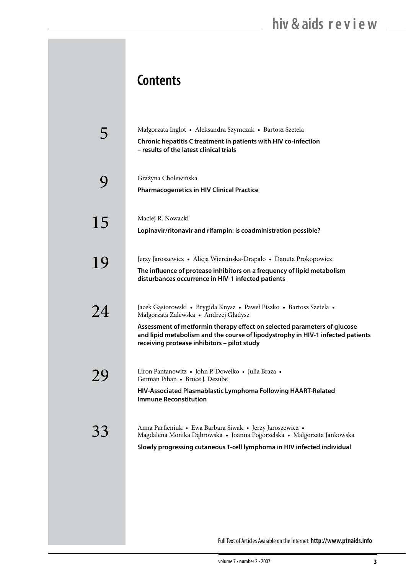## **Contents** 5 Małgorzata Inglot • Aleksandra Szymczak • Bartosz Szetela  **Chronic hepatitis C treatment in patients with HIV co-infection – results of the latest clinical trials** 9 Grażyna Cholewińska  **Pharmacogenetics in HIV Clinical Practice 15** Maciej R. Nowacki<br> **Lopinavir/ritonavir** and rifampin: is coadministration possible? 19 Jerzy Jaroszewicz • Alicja Wiercinska-Drapalo • Danuta Prokopowicz  **The influence of protease inhibitors on a frequency of lipid metabolism disturbances occurrence in HIV-1 infected patients** 24 Jacek Gąsiorowski • Brygida Knysz • Paweł Piszko • Bartosz Szetela •<br>Małgorzata Zalewska • Andrzei Cładysz Małgorzata Zalewska • Andrzej Gładysz  **Assessment of metformin therapy effect on selected parameters of glucose and lipid metabolism and the course of lipodystrophy in HIV-1 infected patients receiving protease inhibitors – pilot study** 29 Liron Pantanowitz • John P. Doweiko • Julia Braza •<br>German Pihan • Bruce I Dezube German Pihan • Bruce J. Dezube  **HIV-Associated Plasmablastic Lymphoma Following HAART-Related Immune Reconstitution** 33 Anna Parfieniuk • Ewa Barbara Siwak • Jerzy Jaroszewicz • Małgorzata Jankowska • Joanna Pogorzelska • Małgorzata Jankowska  **Slowly progressing cutaneous T-cell lymphoma in HIV infected individual**

Full Text of Articles Avaiable on the Internet: **http://www.ptnaids.info**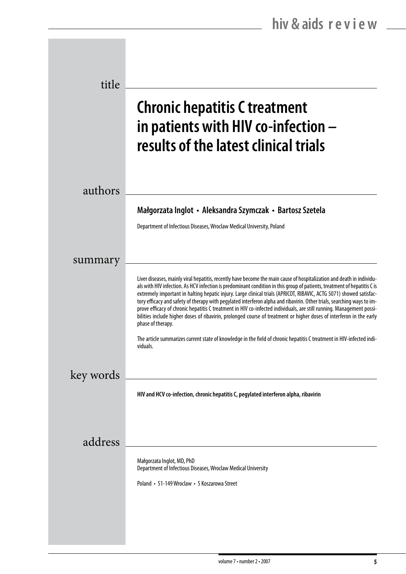| title     |                                                                                                                                                                                                                                                                                                                                                                                                                                                                                                                                                                                                                                                                                                                                                                                                                                                                                                              |
|-----------|--------------------------------------------------------------------------------------------------------------------------------------------------------------------------------------------------------------------------------------------------------------------------------------------------------------------------------------------------------------------------------------------------------------------------------------------------------------------------------------------------------------------------------------------------------------------------------------------------------------------------------------------------------------------------------------------------------------------------------------------------------------------------------------------------------------------------------------------------------------------------------------------------------------|
|           | <b>Chronic hepatitis C treatment</b><br>in patients with HIV co-infection $-$<br>results of the latest clinical trials                                                                                                                                                                                                                                                                                                                                                                                                                                                                                                                                                                                                                                                                                                                                                                                       |
| authors   |                                                                                                                                                                                                                                                                                                                                                                                                                                                                                                                                                                                                                                                                                                                                                                                                                                                                                                              |
|           | Małgorzata Inglot • Aleksandra Szymczak • Bartosz Szetela                                                                                                                                                                                                                                                                                                                                                                                                                                                                                                                                                                                                                                                                                                                                                                                                                                                    |
|           | Department of Infectious Diseases, Wroclaw Medical University, Poland                                                                                                                                                                                                                                                                                                                                                                                                                                                                                                                                                                                                                                                                                                                                                                                                                                        |
| summary   |                                                                                                                                                                                                                                                                                                                                                                                                                                                                                                                                                                                                                                                                                                                                                                                                                                                                                                              |
|           | Liver diseases, mainly viral hepatitis, recently have become the main cause of hospitalization and death in individu-<br>als with HIV infection. As HCV infection is predominant condition in this group of patients, treatment of hepatitis C is<br>extremely important in halting hepatic injury. Large clinical trials (APRICOT, RIBAVIC, ACTG 5071) showed satisfac-<br>tory efficacy and safety of therapy with pegylated interferon alpha and ribavirin. Other trials, searching ways to im-<br>prove efficacy of chronic hepatitis C treatment in HIV co-infected individuals, are still running. Management possi-<br>bilities include higher doses of ribavirin, prolonged course of treatment or higher doses of interferon in the early<br>phase of therapy.<br>The article summarizes current state of knowledge in the field of chronic hepatitis C treatment in HIV-infected indi-<br>viduals. |
| key words |                                                                                                                                                                                                                                                                                                                                                                                                                                                                                                                                                                                                                                                                                                                                                                                                                                                                                                              |
|           | HIV and HCV co-infection, chronic hepatitis C, pegylated interferon alpha, ribavirin                                                                                                                                                                                                                                                                                                                                                                                                                                                                                                                                                                                                                                                                                                                                                                                                                         |
| address   |                                                                                                                                                                                                                                                                                                                                                                                                                                                                                                                                                                                                                                                                                                                                                                                                                                                                                                              |
|           | Małgorzata Inglot, MD, PhD<br>Department of Infectious Diseases, Wroclaw Medical University                                                                                                                                                                                                                                                                                                                                                                                                                                                                                                                                                                                                                                                                                                                                                                                                                  |
|           | Poland • 51-149 Wroclaw • 5 Koszarowa Street                                                                                                                                                                                                                                                                                                                                                                                                                                                                                                                                                                                                                                                                                                                                                                                                                                                                 |
|           |                                                                                                                                                                                                                                                                                                                                                                                                                                                                                                                                                                                                                                                                                                                                                                                                                                                                                                              |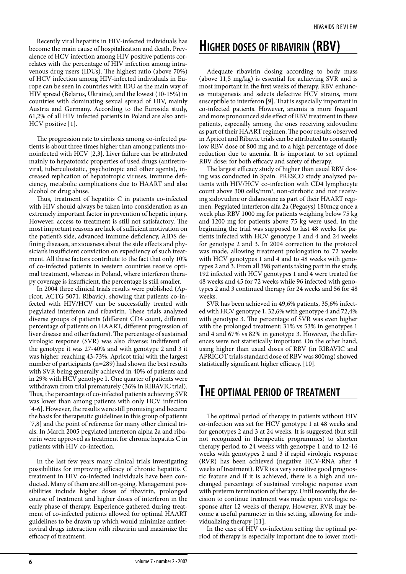Recently viral hepatitis in HIV-infected individuals has become the main cause of hospitalization and death. Prevalence of HCV infection among HIV positive patients correlates with the percentage of HIV infection among intravenous drug users (IDUs). The highest ratio (above 70%) of HCV infection among HIV-infected individuals in Europe can be seen in countries with IDU as the main way of HIV spread (Belarus, Ukraine), and the lowest (10-15%) in countries with dominating sexual spread of HIV, mainly Austria and Germany. According to the Eurosida study, 61,2% of all HIV infected patients in Poland are also anti-HCV positive [1].

The progression rate to cirrhosis among co-infected patients is about three times higher than among patients monoinfected with HCV [2,3]. Liver failure can be attributed mainly to hepatotoxic properties of used drugs (antiretroviral, tuberculostatic, psychotropic and other agents), increased replication of hepatotropic viruses, immune deficiency, metabolic complications due to HAART and also alcohol or drug abuse.

Thus, treatment of hepatitis C in patients co-infected with HIV should always be taken into consideration as an extremely important factor in prevention of hepatic injury. However, access to treatment is still not satisfactory. The most important reasons are lack of sufficient motivation on the patient's side, advanced immune deficiency, AIDS defining diseases, anxiousness about the side effects and physician's insufficient conviction on expediency of such treatment. All these factors contribute to the fact that only 10% of co-infected patients in western countries receive optimal treatment, whereas in Poland, where interferon therapy coverage is insufficient, the percentage is still smaller.

In 2004 three clinical trials results were published (Apricot, ACTG 5071, Ribavic), showing that patients co-infected with HIV/HCV can be successfully treated with pegylated interferon and ribavirin. These trials analyzed diverse groups of patients (different CD4 count, different percentage of patients on HAART, different progression of liver disease and other factors). The percentage of sustained virologic response (SVR) was also diverse: indifferent of the genotype it was 27-40% and with genotype 2 and 3 it was higher, reaching 43-73%. Apricot trial with the largest number of participants (n=289) had shown the best results with SVR being generally achieved in 40% of patients and in 29% with HCV genotype 1. One quarter of patients were withdrawn from trial prematurely (36% in RIBAVIC trial). Thus, the percentage of co-infected patients achieving SVR was lower than among patients with only HCV infection [4-6]. However, the results were still promising and became the basis for therapeutic guidelines in this group of patients [7,8] and the point of reference for many other clinical trials. In March 2005 pegylated interferon alpha 2a and ribavirin were approved as treatment for chronic hepatitis C in patients with HIV co-infection.

In the last few years many clinical trials investigating possibilities for improving efficacy of chronic hepatitis C treatment in HIV co-infected individuals have been conducted. Many of them are still on-going. Management possibilities include higher doses of ribavirin, prolonged course of treatment and higher doses of interferon in the early phase of therapy. Experience gathered during treatment of co-infected patients allowed for optimal HAART guidelines to be drawn up which would minimize antiretroviral drugs interaction with ribavirin and maximize the efficacy of treatment.

#### **Higher doses of ribavirin (RBV)**

Adequate ribavirin dosing according to body mass (above 11,5 mg/kg) is essential for achieving SVR and is most important in the first weeks of therapy. RBV enhances mutagenesis and selects defective HCV strains, more susceptible to interferon [9]. That is especially important in co-infected patients. However, anemia is more frequent and more pronounced side effect of RBV treatment in these patients, especially among the ones receiving zidovudine as part of their HAART regimen. The poor results observed in Apricot and Ribavic trials can be attributed to constantly low RBV dose of 800 mg and to a high percentage of dose reduction due to anemia. It is important to set optimal RBV dose: for both efficacy and safety of therapy.

The largest efficacy study of higher than usual RBV dosing was conducted in Spain. PRESCO study analyzed patients with HIV/HCV co-infection with CD4 lymphocyte count above 300 cells/mm<sup>3</sup>, non-cirrhotic and not receiving zidovudine or didanosine as part of their HAART regimen. Pegylated interferon alfa 2a (Pegasys) 180mcg once a week plus RBV 1000 mg for patients weighing below 75 kg and 1200 mg for patients above 75 kg were used. In the beginning the trial was supposed to last 48 weeks for patients infected with HCV genotype 1 and 4 and 24 weeks for genotype 2 and 3. In 2004 correction to the protocol was made, allowing treatment prolongation to 72 weeks with HCV genotypes 1 and 4 and to 48 weeks with genotypes 2 and 3. From all 398 patients taking part in the study, 192 infected with HCV genotypes 1 and 4 were treated for 48 weeks and 45 for 72 weeks while 96 infected with genotypes 2 and 3 continued therapy for 24 weeks and 56 for 48 weeks.

SVR has been achieved in 49,6% patients, 35,6% infected with HCV genotype 1, 32,6% with genotype 4 and 72,4% with genotype 3. The percentage of SVR was even higher with the prolonged treatment: 31% vs 53% in genotypes 1 and 4 and 67% vs 82% in genotype 3. However, the differences were not statistically important. On the other hand, using higher than usual doses of RBV (in RIBAVIC and APRICOT trials standard dose of RBV was 800mg) showed statistically significant higher efficacy. [10].

#### **The optimal period of treatment**

The optimal period of therapy in patients without HIV co-infection was set for HCV genotype 1 at 48 weeks and for genotypes 2 and 3 at 24 weeks. It is suggested (but still not recognized in therapeutic programmes) to shorten therapy period to 24 weeks with genotype 1 and to 12-16 weeks with genotypes 2 and 3 if rapid virologic response (RVR) has been achieved (negative HCV-RNA after 4 weeks of treatment). RVR is a very sensitive good prognostic feature and if it is achieved, there is a high and unchanged percentage of sustained virologic response even with preterm termination of therapy. Until recently, the decision to continue treatment was made upon virologic response after 12 weeks of therapy. However, RVR may become a useful parameter in this setting, allowing for individualizing therapy [11].

In the case of HIV co-infection setting the optimal period of therapy is especially important due to lower moti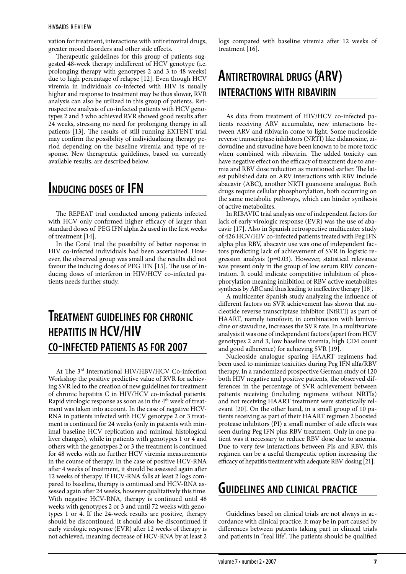vation for treatment, interactions with antiretroviral drugs, greater mood disorders and other side effects.

Therapeutic guidelines for this group of patients suggested 48-week therapy indifferent of HCV genotype (i.e. prolonging therapy with genotypes 2 and 3 to 48 weeks) due to high percentage of relapse [12]. Even though HCV viremia in individuals co-infected with HIV is usually higher and response to treatment may be thus slower, RVR analysis can also be utilized in this group of patients. Retrospective analysis of co-infected patients with HCV genotypes 2 and 3 who achieved RVR showed good results after 24 weeks, stressing no need for prolonging therapy in all patients [13]. The results of still running EXTENT trial may confirm the possibility of individualizing therapy period depending on the baseline viremia and type of response. New therapeutic guidelines, based on currently available results, are described below.

#### **Inducing doses of IFN**

The REPEAT trial conducted among patients infected with HCV only confirmed higher efficacy of larger than standard doses of PEG IFN alpha 2a used in the first weeks of treatment [14].

In the Coral trial the possibility of better response in HIV co-infected individuals had been ascertained. However, the observed group was small and the results did not favour the inducing doses of PEG IFN [15]. The use of inducing doses of interferon in HIV/HCV co-infected patients needs further study.

### **Treatment guidelines for chronic hepatitis in HCV/HIV co-infected patients as for 2007**

At The 3rd International HIV/HBV/HCV Co-infection Workshop the positive predictive value of RVR for achieving SVR led to the creation of new guidelines for treatment of chronic hepatitis C in HIV/HCV co-infected patients. Rapid virologic response as soon as in the 4<sup>th</sup> week of treatment was taken into account. In the case of negative HCV-RNA in patients infected with HCV genotype 2 or 3 treatment is continued for 24 weeks (only in patients with minimal baseline HCV replication and minimal histological liver changes), while in patients with genotypes 1 or 4 and others with the genotypes 2 or 3 the treatment is continued for 48 weeks with no further HCV viremia measurements in the course of therapy. In the case of positive HCV-RNA after 4 weeks of treatment, it should be assessed again after 12 weeks of therapy. If HCV-RNA falls at least 2 logs compared to baseline, therapy is continued and HCV-RNA assessed again after 24 weeks, however qualitatively this time. With negative HCV-RNA, therapy is continued until 48 weeks with genotypes 2 or 3 and until 72 weeks with genotypes 1 or 4. If the 24-week results are positive, therapy should be discontinued. It should also be discontinued if early virologic response (EVR) after 12 weeks of therapy is not achieved, meaning decrease of HCV-RNA by at least 2

logs compared with baseline viremia after 12 weeks of treatment [16].

### **Antiretroviral drugs (ARV) interactions with ribavirin**

As data from treatment of HIV/HCV co-infected patients receiving ARV accumulate, new interactions between ARV and ribivarin come to light. Some nucleoside reverse transcriptase inhibitors (NRTI) like didanosine, zidovudine and stavudine have been known to be more toxic when combined with ribavirin. The added toxicity can have negative effect on the efficacy of treatment due to anemia and RBV dose reduction as mentioned earlier. The latest published data on ARV interactions with RBV include abacavir (ABC), another NRTI guanosine analogue. Both drugs require cellular phosphorylation, both occurring on the same metabolic pathways, which can hinder synthesis of active metabolites.

In RIBAVIC trial analysis one of independent factors for lack of early virologic response (EVR) was the use of abacavir [17]. Also in Spanish retrospective multicenter study of 426 HCV/HIV co-infected patients treated with Peg IFN alpha plus RBV, abacavir use was one of independent factors predicting lack of achievement of SVR in logistic regression analysis (p=0.03). However, statistical relevance was present only in the group of low serum RBV concentration. It could indicate competitive inhibition of phosphorylation meaning inhibition of RBV active metabolites synthesis by ABC and thus leading to ineffective therapy [18].

A multicenter Spanish study analyzing the influence of different factors on SVR achievement has shown that nucleotide reverse transcriptase inhibitor (NtRTI) as part of HAART, namely tenofovir, in combination with lamivudine or stavudine, increases the SVR rate. In a multivariate analysis it was one of independent factors (apart from HCV genotypes 2 and 3, low baseline viremia, high CD4 count and good adherence) for achieving SVR [19].

Nucleoside analogue sparing HAART regimens had been used to minimize toxicities during Peg IFN alfa/RBV therapy. In a randomized prospective German study of 120 both HIV negative and positive patients, the observed differences in the percentage of SVR achievement between patients receiving (including regimens without NRTIs) and not receiving HAART treatment were statistically relevant [20]. On the other hand, in a small group of 10 patients receiving as part of their HAART regimen 2 boosted protease inhibitors (PI) a small number of side effects was seen during Peg IFN plus RBV treatment. Only in one patient was it necessary to reduce RBV dose due to anemia. Due to very few interactions between PIs and RBV, this regimen can be a useful therapeutic option increasing the efficacy of hepatitis treatment with adequate RBV dosing [21].

#### **Guidelines and clinical practice**

Guidelines based on clinical trials are not always in accordance with clinical practice. It may be in part caused by differences between patients taking part in clinical trials and patients in "real life". The patients should be qualified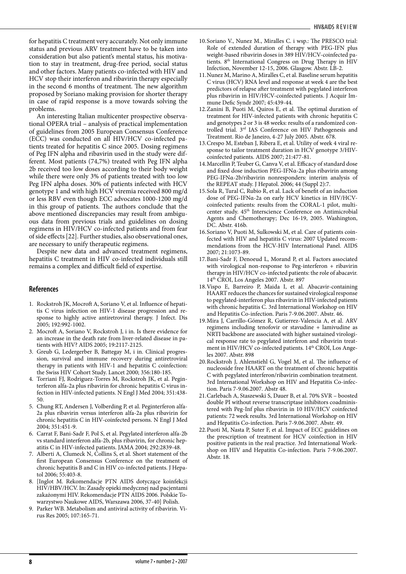for hepatitis C treatment very accurately. Not only immune status and previous ARV treatment have to be taken into consideration but also patient's mental status, his motivation to stay in treatment, drug-free period, social status and other factors. Many patients co-infected with HIV and HCV stop their interferon and ribavirin therapy especially in the second 6 months of treatment. The new algorithm proposed by Soriano making provision for shorter therapy in case of rapid response is a move towards solving the problems.

An interesting Italian multicenter prospective observational OPERA trial – analysis of practical implementation of guidelines from 2005 European Consensus Conference (ECC) was conducted on all HIV/HCV co-infected patients treated for hepatitis C since 2005. Dosing regimens of Peg IFN alpha and ribavirin used in the study were different. Most patients (74,7%) treated with Peg IFN alpha 2b received too low doses according to their body weight while there were only 3% of patients treated with too low Peg IFN alpha doses. 30% of patients infected with HCV genotype 1 and with high HCV viremia received 800 mg/d or less RBV even though ECC advocates 1000-1200 mg/d in this group of patients. The authors conclude that the above mentioned discrepancies may result from ambiguous data from previous trials and guidelines on dosing regimens in HIV/HCV co-infected patients and from fear of side effects [22]. Further studies, also observational ones, are necessary to unify therapeutic regimens.

Despite new data and advanced treatment regimens, hepatitis C treatment in HIV co-infected individuals still remains a complex and difficult field of expertise.

- 1. Rockstroh JK, Mocroft A, Soriano V, et al. Influence of hepatitis C virus infection on HIV-1 disease progression and response to highly active antiretroviral therapy. J Infect. Dis 2005; 192:992-1002.
- 2. Mocroft A, Soriano V, Rockstroh J, i in. Is there evidence for an increase in the death rate from liver-related disease in patients with HIV? AIDS 2005; 19:2117-2125.
- 3. Greub G, Ledergerber B, Battegay M, i in. Clinical progression, survival and immune recovery during antiretroviral therapy in patients with HIV-1 and hepatitis C coinfection: the Swiss HIV Cohort Study. Lancet 2000; 356:180-185.
- 4. Torriani FJ, Rodriguez-Torres M, Rockstroh JK, et al. Peginterferon alfa-2a plus ribavirin for chronic hepatitis C virus infection in HIV-infected patients. N Engl J Med 2004; 351:438- 50.
- 5. Chung RT, Andersen J, Volberding P, et al. Peginterferon alfa-2a plus ribavirin versus interferon alfa-2a plus ribavirin for chronic hepatitis C in HIV-coinfected persons. N Engl J Med 2004; 351:451-9.
- 6. Carrat F, Bani-Sadr F, Pol S, et al. Pegylated interferon alfa-2b vs standard interferon alfa-2b, plus ribavirin, for chronic hepatitis C in HIV-infected patients. JAMA 2004; 292:2839-48.
- 7. Alberti A, Clumeck N, Collins S, et al. Short statement of the first European Consensus Conference on the treatment of chronic hepatitis B and C in HIV co-infected patients. J Hepatol 2006; 55:403-8.
- 8. [Inglot M. Rekomendacje PTN AIDS dotyczące koinfekcji HIV/HBV/HCV. In: Zasady opieki medycznej nad pacjentami zakażonymi HIV. Rekomendacje PTN AIDS 2006. Polskie Towarzystwo Naukowe AIDS, Warszawa 2006, 37-40] Polish.
- 9. Parker WB. Metabolism and antiviral activity of ribavirin. Virus Res 2005; 107:165-71.
- 10.Soriano V., Nunez M., Miralles C. i wsp.: The PRESCO trial: Role of extended duration of therapy with PEG-IFN plus weight-based ribavirin doses in 389 HIV/HCV-coinfected patients. 8<sup>th</sup> International Congress on Drug Therapy in HIV Infection, November 12-15, 2006. Glasgow. Abstr. LB-2.
- 11.Nunez M, Marino A, Miralles C, et al. Baseline serum hepatitis C virus (HCV) RNA level and response at week 4 are the best predictors of relapse after treatment with pegylated interferon plus ribavirin in HIV/HCV-coinfected patients. J Acquir Immune Defic Syndr 2007; 45:439-44.
- 12.Zanini B, Puoti M, Quiros E, et al. The optimal duration of treatment for HIV-infected patients with chronic hepatitis C and genotypes 2 or 3 is 48 weeks: results of a randomized controlled trial. 3rd IAS Conference on HIV Pathogenesis and Treatment. Rio de Janeiro, 4-27 July 2005. Abstr. 678.
- 13.Crespo M, Esteban J, Ribera E, et al. Utility of week 4 viral response to tailor treatment duration in HCV genotype 3/HIVcoinfected patients. AIDS 2007; 21:477-81.
- 14.Marcellin P, Teuber G, Canva V, et al. Efficacy of standard dose and fixed dose induction PEG-IFNα-2a plus ribavirin among PEG-IFNα-2b/ribavirin nonresponders: interim analysis of the REPEAT study. J Hepatol. 2006; 44 (Suppl 2):7.
- 15.Sola R, Tural C, Rubio R, et al. Lack of benefit of an induction dose of PEG-IFNα-2a on early HCV kinetics in HIV/HCVcoinfected patients: results from the CORAL-1 pilot, multicenter study. 45<sup>th</sup> Interscience Conference on Antimicrobial Agents and Chemotherapy; Dec 16-19, 2005. Washington, DC. Abstr. 416b.
- 16.Soriano V, Puoti M, Sulkowski M, et al. Care of patients coinfected with HIV and hepatitis C virus: 2007 Updated recommendations from the HCV-HIV International Panel. AIDS 2007; 21:1073-89.
- 17.Bani-Sadr F, Denoeud L, Morand P, et al. Factors associated with virological non-response to Peg-interferon + ribavirin therapy in HIV/HCV co-infected patients: the role of abacavir. 14th CROI, Los Angeles 2007. Abstr. 897
- 18.Vispo E, Barreiro P, Maida I, et al. Abacavir-containing HAART reduces the chances for sustained virological response to pegylated-interferon plus ribavirin in HIV-infected patients with chronic hepatitis C. 3rd International Workshop on HIV and Hepatitis Co-infection. Paris 7-9.06.2007. Abstr. 46.
- 19.Mira J, Carrillo-Gómez R, Gutierrez-Valencia A, et al. ARV regimens including tenofovir or stavudine + lamivudine as NRTI backbone are associated with higher sustained virological response rate to pegylated interferon and ribavirin treatment in HIV/HCV co-infected patients. 14<sup>th</sup> CROI, Los Angeles 2007. Abstr. 898
- 20.Rockstroh J, Ahlenstiehl G, Vogel M, et al. The influence of nucleoside free HAART on the treatment of chronic hepatitis C with pegylated interferon/ribavirin combination treatment. 3rd International Workshop on HIV and Hepatitis Co-infection. Paris 7-9.06.2007. Abstr 48.
- 21.Carlebach A, Staszewski S, Dauer B, et al. 70% SVR boosted double PI without reverse transcriptase inhibitors coadministered with Peg-Inf plus ribavirin in 10 HIV/HCV coinfected patients: 72 week results. 3rd International Workshop on HIV and Hepatitis Co-infection. Paris 7-9.06.2007. Abstr. 49.
- 22.Puoti M, Nasta P, Suter F, et al. Impact of ECC guidelines on the prescription of treatment for HCV coinfection in HIV positive patients in the real practice. 3rd International Workshop on HIV and Hepatitis Co-infection. Paris 7-9.06.2007. Abstr. 18.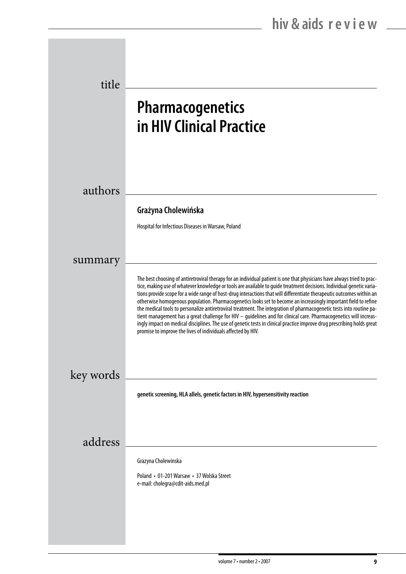| title     |                                                                                                                                                                                                                                                                                                                                                                                                                                                                                                                                                                                                                                                                                                                                                                                                                                                                                                                                      |
|-----------|--------------------------------------------------------------------------------------------------------------------------------------------------------------------------------------------------------------------------------------------------------------------------------------------------------------------------------------------------------------------------------------------------------------------------------------------------------------------------------------------------------------------------------------------------------------------------------------------------------------------------------------------------------------------------------------------------------------------------------------------------------------------------------------------------------------------------------------------------------------------------------------------------------------------------------------|
|           | Pharmacogenetics<br>in HIV Clinical Practice                                                                                                                                                                                                                                                                                                                                                                                                                                                                                                                                                                                                                                                                                                                                                                                                                                                                                         |
| authors   |                                                                                                                                                                                                                                                                                                                                                                                                                                                                                                                                                                                                                                                                                                                                                                                                                                                                                                                                      |
|           | Grażyna Cholewińska                                                                                                                                                                                                                                                                                                                                                                                                                                                                                                                                                                                                                                                                                                                                                                                                                                                                                                                  |
|           | Hospital for Infectious Diseases in Warsaw, Poland                                                                                                                                                                                                                                                                                                                                                                                                                                                                                                                                                                                                                                                                                                                                                                                                                                                                                   |
| summary   |                                                                                                                                                                                                                                                                                                                                                                                                                                                                                                                                                                                                                                                                                                                                                                                                                                                                                                                                      |
|           | The best choosing of antiretroviral therapy for an individual patient is one that physicians have always tried to prac-<br>tice, making use of whatever knowledge or tools are available to guide treatment decisions. Individual genetic varia-<br>tions provide scope for a wide range of host-drug interactions that will differentiate therapeutic outcomes within an<br>otherwise homogenous population. Pharmacogenetics looks set to become an increasingly important field to refine<br>the medical tools to personalize antiretroviral treatment. The integration of pharmacogenetic tests into routine pa-<br>tient management has a great challenge for HIV - guidelines and for clinical care. Pharmacogenetics will increas-<br>ingly impact on medical disciplines. The use of genetic tests in clinical practice improve drug prescribing holds great<br>promise to improve the lives of individuals affected by HIV. |
| key words |                                                                                                                                                                                                                                                                                                                                                                                                                                                                                                                                                                                                                                                                                                                                                                                                                                                                                                                                      |
|           | genetic screening, HLA allels, genetic factors in HIV, hypersensitivity reaction                                                                                                                                                                                                                                                                                                                                                                                                                                                                                                                                                                                                                                                                                                                                                                                                                                                     |
| address   |                                                                                                                                                                                                                                                                                                                                                                                                                                                                                                                                                                                                                                                                                                                                                                                                                                                                                                                                      |
|           | Grazyna Cholewinska                                                                                                                                                                                                                                                                                                                                                                                                                                                                                                                                                                                                                                                                                                                                                                                                                                                                                                                  |
|           | Poland • 01-201 Warsaw • 37 Wolska Street<br>e-mail: cholegra@cdit-aids.med.pl                                                                                                                                                                                                                                                                                                                                                                                                                                                                                                                                                                                                                                                                                                                                                                                                                                                       |
|           |                                                                                                                                                                                                                                                                                                                                                                                                                                                                                                                                                                                                                                                                                                                                                                                                                                                                                                                                      |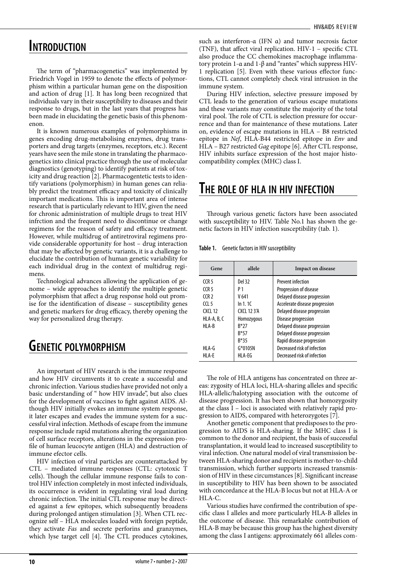#### **Introduction**

The term of "pharmacogenetics" was implemented by Friedrich Vogel in 1959 to denote the effects of polymorphism within a particular human gene on the disposition and action of drug [1]. It has long been recognized that individuals vary in their susceptibility to diseases and their response to drugs, but in the last years that progress has been made in elucidating the genetic basis of this phenomenon.

It is known numerous examples of polymorphisms in genes encoding drug-metabolising enzymes, drug transporters and drug targets (enzymes, receptors, etc.). Recent years have seen the mile stone in translating the pharmacogenetics into clinical practice through the use of molecular diagnostics (genotyping) to identify patients at risk of toxicity and drug reaction [2]. Pharmacogentetic tests to identify variations (polymorphism) in human genes can reliably predict the treatment efficacy and toxicity of clinically important medications. This is important area of intense research that is particularly relevant to HIV, given the need for chronic administration of multiple drugs to treat HIV infrction and the frequent need to discontinue or change regimens for the reason of safety and efficacy treatment. However, while multidrug of antiretroviral regimens provide considerable opportunity for host – drug interaction that may be affected by genetic variants, it is a challenge to elucidate the contribution of human genetic variability for each individual drug in the context of multidrug regimens.

Technological advances allowing the application of genome – wide approaches to identify the multiple genetic polymorphism that affect a drug response hold out promise for the identification of disease – susceptibility genes and genetic markers for drug efficacy, thereby opening the way for personalized drug therapy.

### **Genetic polymorphism**

An important of HIV research is the immune response and how HIV circumvents it to create a successful and chronic infection. Various studies have provided not only a basic understanding of " how HIV invade", but also clues for the development of vaccines to fight against AIDS. Although HIV initially evokes an immune system response, it later escapes and evades the immune system for a successful viral infection. Methods of escape from the immune response include rapid mutations altering the organization of cell surface receptors, alterations in the expression profile of human leucocyte antigen (HLA) and destruction of immune efector cells.

HIV infection of viral particles are counterattacked by CTL – mediated immune responses (CTL: cytotoxic T cells). Though the cellular immune response fails to control HIV infection completely in most infected individuals, its occurrence is evident in regulating viral load during chronic infection. The initial CTL response may be directed against a few epitopes, which subsequently broadens during prolonged antigen stimulation [3]. When CTL recognize self – HLA molecules loaded with foreign peptide, they activate *Fas* and secrete perforins and granzymes, which lyse target cell [4]. The CTL produces cytokines,

such as interferon-α (IFN α) and tumor necrosis factor (TNF), that affect viral replication. HIV-1 – specific CTL also produce the CC chemokines macrophage inflammatory protein 1-α and 1-β and "rantes" which suppress HIV-1 replication [5]. Even with these various effector functions, CTL cannot completely check viral intrusion in the immune system.

During HIV infection, selective pressure imposed by CTL leads to the generation of various escape mutations and these variants may constitute the majority of the total viral pool. The role of CTL is selection pressure for occurrence and than for maintenance of these mutations. Later on, evidence of escape mutations in HLA – B8 restricted epitope in *Nef*, HLA-B44 restricted epitope in *Env* and HLA – B27 restricted *Gag* epitope [6]. After CTL response, HIV inhibits surface expression of the host major histocompatibility complex (MHC) class I.

#### **The role of hla in hiv infection**

Through various genetic factors have been associated with susceptibility to HIV. Table No.1 has shown the genetic factors in HIV infection susceptibility (tab. 1).

**Table 1.** Genetic factors in HIV susceptibility

| Gene               | allele             | Impact on disease              |  |
|--------------------|--------------------|--------------------------------|--|
| CCR <sub>5</sub>   | Del 32             | <b>Prevent infection</b>       |  |
| CCR <sub>5</sub>   | P 1                | Progression of disease         |  |
| C(R <sub>2</sub> ) | V <sub>641</sub>   | Delayed disease progression    |  |
| (15)               | ln 1.1C            | Accelerate disease progression |  |
| $CXCI$ 12          | <b>CXCL 12 3'A</b> | Delayed disease progression    |  |
| HLA-A, B, C        | Homozygous         | Disease progression            |  |
| HI A-B             | $R*27$             | Delayed disease progression    |  |
|                    | $R*57$             | Delayed disease progression    |  |
|                    | $R*35$             | Rapid disease progression      |  |
| HI A-G             | $G*0105N$          | Decreased risk of infection    |  |
| HLA-E              | HLA-EG             | Decreased risk of infection    |  |

The role of HLA antigens has concentrated on three areas: zygosity of HLA loci, HLA-sharing alleles and specific HLA-allelic/halotyping association with the outcome of disease progression. It has been shown that homozygosity at the class I – loci is associated with relatively rapid progression to AIDS, compared with heterozygotes [7].

Another genetic component that predisposes to the progression to AIDS is HLA-sharing. If the MHC class I is common to the donor and recipient, the basis of successful transplantation, it would lead to increased susceptibility to viral infection. One natural model of viral transmission between HLA-sharing donor and recipient is mother-to-child transmission, which further supports increased transmission of HIV in these circumstances [8]. Significant increase in susceptibility to HIV has been shown to be associated with concordance at the HLA-B locus but not at HLA-A or HLA-C.

Various studies have confirmed the contribution of specific class I alleles and more particularly HLA-B alleles in the outcome of disease. This remarkable contribution of HLA-B may be because this group has the highest diversity among the class I antigens: approximately 661 alleles com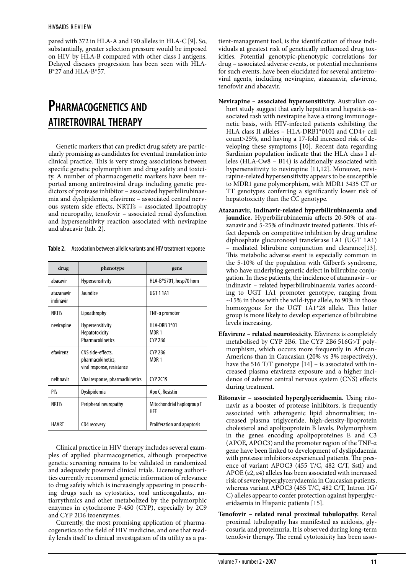pared with 372 in HLA-A and 190 alleles in HLA-C [9]. So, substantially, greater selection pressure would be imposed on HIV by HLA-B compared with other class I antigens. Delayed diseases progression has been seen with HLA-B\*27 and HLA-B\*57.

### **Pharmacogenetics and atiretroviral therapy**

Genetic markers that can predict drug safety are particularly promising as candidates for eventual translation into clinical practice. This is very strong associations between specific genetic polymorphism and drug safety and toxicity. A number of pharmacogenetic markers have been reported among antiretroviral drugs including genetic predictors of protease inhibitor – associated hyperbilirubinaemia and dyslipidemia, efavirenz – associated central nervous system side effects, NRTI's – associated lipoatrophy and neuropathy, tenofovir – associated renal dysfunction and hypersensitivity reaction associated with nevirapine and abacavir (tab. 2).

| drug                    | phenotype                                                            | gene                                                           |
|-------------------------|----------------------------------------------------------------------|----------------------------------------------------------------|
| abacavir                | Hypersensitivity                                                     | HLA-B*5701, hosp70 hom                                         |
| atazanavir<br>indinavir | Jaundice                                                             | <b>UGT 1 1A1</b>                                               |
| NRTI's                  | Lipoathrophy                                                         | TNF-a promoter                                                 |
| nevirapine              | <b>Hypersensitivity</b><br>Hepatotoxicity<br>Pharmacokinetics        | <b>HI A-DRR 1*01</b><br>MDR <sub>1</sub><br>CYP <sub>2B6</sub> |
| efavirenz               | CNS side-effects,<br>pharmacokinetics,<br>viral response, resistance | CYP <sub>2B6</sub><br>MDR <sub>1</sub>                         |
| nelfinavir              | Viral response, pharmacikinetics                                     | <b>CYP 2C19</b>                                                |
| PI's                    | Dyslipidemia                                                         | Apo C, Resistin                                                |
| NRTI's                  | Peripheral neuropathy                                                | Mitochondrial haplogroup T<br><b>HFF</b>                       |
| HAART                   | CD4 recovery                                                         | Proliferation and apoptosis                                    |

**Table 2.** Association between allelic variants and HIV treatment response

Clinical practice in HIV therapy includes several examples of applied pharmacogenetics, although prospective genetic screening remains to be validated in randomized and adequately powered clinical trials. Licensing authorities currently recommend genetic information of relevance to drug safety which is increasingly appearing in prescribing drugs such as cytostatics, oral anticoagulants, antiarrythmics and other metabolized by the polymorphic enzymes in cytochrome P-450 (CYP), especially by 2C9 and CYP 2D6 izoenzymes.

Currently, the most promising application of pharmacogenetics to the field of HIV medicine, and one that readily lends itself to clinical investigation of its utility as a patient-management tool, is the identification of those individuals at greatest risk of genetically influenced drug toxicities. Potential genotypic-phenotypic correlations for drug – associated adverse events, or potential mechanisms for such events, have been elucidated for several antiretroviral agents, including nevirapine, atazanavir, efavirenz, tenofovir and abacavir.

- **Nevirapine associated hypersensitivity.** Australian cohort study suggest that early hepatitis and hepatitis-associated rash with nevirapine have a strong immunogenetic basis, with HIV-infected patients exhibiting the HLA class II alleles – HLA-DRB1\*0101 and CD4+ cell count>25%, and having a 17-fold increased risk of developing these symptoms [10]. Recent data regarding Sardinian population indicate that the HLA class I alleles (HLA-Cw8 – B14) is additionally associated with hypersensitivity to nevirapine [11,12]. Moreover, nevirapine-related hypersensitivity appears to be susceptible to MDR1 gene polymorphism, with MDR1 3435 CT or TT genotypes conferring a significantly lower risk of hepatotoxicity than the CC genotype.
- **Atazanavir, Indinavir-related hyperbilirubinaemia and jaundice.** Hyperbilirubinaemia affects 20-50% of atazanavir and 5-25% of indinavir treated patients. This effect depends on competitive inhibition by drug uridine diphosphate glucuronosyl transferase 1A1 (UGT 1A1) – mediated bilirubine conjunction and clearance[13]. This metabolic adverse event is especially common in the 5-10% of the population with Gilbert's syndrome, who have underlying genetic defect in bilirubine conjugation. In these patients, the incidence of atazanavir – or indinavir – related hyperbilirubinaemia varies according to UGT 1A1 promoter genotype, ranging from  $\sim$  15% in those with the wild-type allele, to 90% in those homozygous for the UGT 1A1\*28 allele. This latter group is more likely to develop experience of bilirubine levels increasing.
- **Efavirenz related neurotoxicity.** Efavirenz is completely metabolised by CYP 2B6. The CYP 2B6 516G>T polymorphism, which occurs more frequently in African-Americns than in Caucasian (20% vs 3% respectively), have the 516 T/T genotype [14] – is associated with increased plasma efavirenz exposure and a higher incidence of adverse central nervous system (CNS) effects during treatment.
- **Ritonavir associated hyperglyceridaemia.** Using ritonavir as a booster of protease inhibitors, is frequently associated with atherogenic lipid abnormalities; increased plasma triglyceride, high-density-lipoprotein cholesterol and apolipoprotein B levels. Polymorphism in the genes encoding apolipoproteines E and C3 (APOE, APOC3) and the promoter region of the TNF-α gene have been linked to development of dyslipidaemia with protease inhibitors experienced patients. The presence of variant APOC3 (455 T/C, 482 C/T, Sstl) and APOE ( $\varepsilon$ 2,  $\varepsilon$ 4) alleles has been associated with increased risk of severe hyperglycerydaemia in Caucasian patients, whereas variant APOC3 (455 T/C, 482 C/T, Intron 1G/ C) alleles appear to confer protection against hyperglyceridaemia in Hispanic patients [15].
- **Tenofovir related renal proximal tubulopathy.** Renal proximal tubulopathy has manifested as acidosis, glycosuria and proteinuria. It is observed during long-term tenofovir therapy. The renal cytotoxicity has been asso-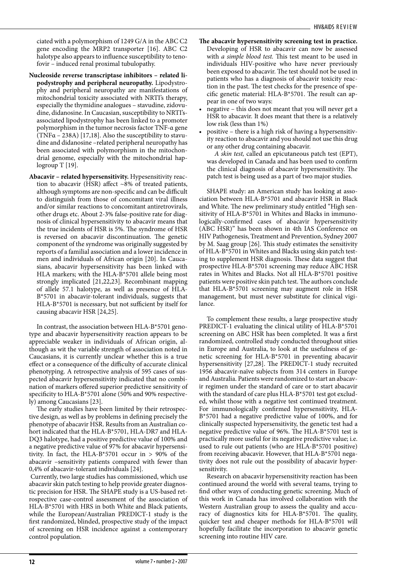ciated with a polymorphism of 1249 G/A in the ABC C2 gene encoding the MRP2 transporter [16]. ABC C2 halotype also appears to influence susceptibility to tenofovir – induced renal proximal tubulopathy.

- **Nucleoside reverse transcriptase inhibitors related lipodystrophy and peripheral neuropathy.** Lipodystrophy and peripheral neuropathy are manifestations of mitochondrial toxicity associated with NRTI's therapy, especially the thymidine analogues – stavudine, zidovudine, didanosine. In Caucasian, susceptibility to NRTI'sassociated lipodystrophy has been linked to a promoter polymorphism in the tumor necrosis factor TNF-α gene (TNF $\alpha$  – 238A) [17,18]. Also the susceptibility to stavudine and didanosine –related peripheral neuropathy has been associated with polymorphism in the mitochondrial genome, especially with the mitochondrial haplogroup  $T$  [19].
- **Abacavir related hypersensitivity.** Hypesensitivity reaction to abacavir (HSR) affect ~8% of treated patients, although symptoms are non-specific and can be difficult to distinguish from those of concomitant viral illness and/or similar reactions to concomitant antiretrovirals, other drugs etc. About 2-3% false-positive rate for diagnosis of clinical hypersensitivity to abacavir means that the true incidents of HSR is 5%. The syndrome of HSR is reversed on abacavir discontinuation. The genetic component of the syndrome was originally suggested by reports of a familial association and a lower incidence in men and individuals of African origin [20]. In Caucasians, abacavir hypersensitivity has been linked with HLA markers; with the HLA-B\*5701 allele being most strongly implicated [21,22,23]. Recombinant mapping of allele 57.1 halotype, as well as presence of HLA-B\*5701 in abacavir-tolerant individuals, suggests that HLA-B\*5701 is necessary, but not sufficient by itself for causing abacavir HSR [24,25].

In contrast, the association between HLA-B\*5701 genotype and abacavir hypersensitivity reaction appears to be appreciable weaker in individuals of African origin, although as wit the variable strength of association noted in Caucasians, it is currently unclear whether this is a true effect or a consequence of the difficulty of accurate clinical phenotyping. A retrospective analysis of 595 cases of suspected abacavir hypersensitivity indicated that no combination of markers offered superior predictive sensitivity of specificity to HLA-B\*5701 alone (50% and 90% respectively) among Caucasians [23].

The early studies have been limited by their retrospective design, as well as by problems in defining precisely the phenotype of abacavir HSR. Results from an Australian cohort indicated that the HLA-B\*5701, HLA-DR7 and HLA-DQ3 halotype, had a positive predictive value of 100% and a negative predictive value of 97% for abacavir hypersensitivity. In fact, the HLA-B\*5701 occur in > 90% of the abacavir –sensitivity patients compared with fewer than 0,4% of abacavir-tolerant individuals [24].

 Currently, two large studies has commissioned, which use abacavir skin patch testing to help provide greater diagnostic precision for HSR. The SHAPE study is a US-based retrospective case-control assessment of the association of HLA-B\*5701 with HRS in both White and Black patients, while the European/Australian PREDICT-1 study is the first randomized, blinded, prospective study of the impact of screening on HSR incidence against a contemporary control population.

- **The abacavir hypersensitivity screening test in practice.** Developing of HSR to abacavir can now be assessed with *a simple blood test.* This test meant to be used in individuals HIV-positive who have never previously been exposed to abacavir. The test should not be used in patients who has a diagnosis of abacavir toxicity reaction in the past. The test checks for the presence of specific genetic material: HLA-B\*5701. The result can appear in one of two ways:
- negative this does not meant that you will never get a HSR to abacavir. It does meant that there is a relatively low risk (less than 1%)
- positive there is a high risk of having a hypersensitivity reaction to abacavir and you should not use this drug or any other drug containing abacavir.

*A skin test,* called an epicutaneous patch test (EPT), was developed in Canada and has been used to confirm the clinical diagnosis of abacavir hypersensitivity. The patch test is being used as a part of two major studies.

SHAPE study: an American study has looking at association between HLA-B\*5701 and abacavir HSR in Black and White. The new preliminary study entitled "High sensitivity of HLA-B\*5701 in Whites and Blacks in immunologically-confirmed cases of abacavir hypersensitivity (ABC HSR)" has been shown in 4th IAS Conference on HIV Pathogenesis, Treatment and Prevention, Sydney 2007 by M. Saag group [26]. This study estimates the sensitivity of HLA-B\*5701 in Whites and Blacks using skin patch testing to supplement HSR diagnosis. These data suggest that prospective HLA-B\*5701 screening may reduce ABC HSR rates in Whites and Blacks. Not all HLA-B\*5701 positive patients were positive skin patch test. The authors conclude that HLA-B\*5701 screening may augment role in HSR management, but must never substitute for clinical vigilance.

To complement these results, a large prospective study PREDICT-1 evaluating the clinical utility of HLA-B\*5701 screening on ABC HSR has been completed. It was a first randomized, controlled study conducted throughout sities in Europe and Australia, to look at the usefulness of genetic screening for HLA-B\*5701 in preventing abacavir hypersensitivity [27,28]. The PREDICT-1 study recruited 1956 abacavir-naïve subjects from 314 centers in Europe and Australia. Patients were randomized to start an abacavir regimen under the standard of care or to start abacavir with the standard of care plus HLA-B\*5701 test got excluded, whilst those with a negative test continued treatment. For immunologically confirmed hypersensitivity, HLA-B\*5701 had a negative predictive value of 100%, and for clinically suspected hypersensitivity, the genetic test had a negative predictive value of 96%. The HLA-B\*5701 test is practically more useful for its negative predictive value; i.e. used to rule out patients (who are HLA-B\*5701 positive) from receiving abacavir. However, that HLA-B\*5701 negativity does not rule out the possibility of abacavir hypersensitivity.

Research on abacavir hypersensitivity reaction has been continued around the world with several teams, trying to find other ways of conducting genetic screening. Much of this work in Canada has involved collaboration with the Western Australian group to assess the quality and accuracy of diagnostics kits for HLA-B\*5701. The quality, quicker test and cheaper methods for HLA-B\*5701 will hopefully facilitate the incorporation to abacavir genetic screening into routine HIV care.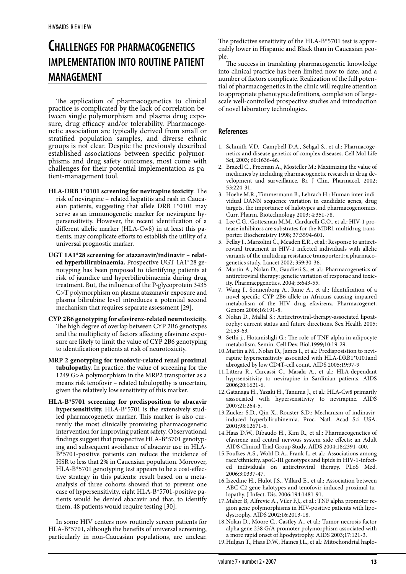### **Challenges for pharmacogenetics implementation into routine patient management**

The application of pharmacogenetics to clinical practice is complicated by the lack of correlation between single polymorphism and plasma drug exposure, drug efficacy and/or tolerability. Pharmacogenetic association are typically derived from small or stratified population samples, and diverse ethnic groups is not clear. Despite the previously described established associations between specific polymorphisms and drug safety outcomes, most come with challenges for their potential implementation as patient-management tool.

- **HLA-DRB 1\*0101 screening for nevirapine toxicity***.* The risk of nevirapine – related hepatitis and rash in Caucasian patients, suggesting that allele DRB 1\*0101 may serve as an immunogenetic marker for nevirapine hypersensitivity. However, the recent identification of a different allelic marker (HLA-Cw8) in at least this patients, may complicate efforts to establish the utility of a universal prognostic marker.
- **UGT 1A1\*28 screening for atazanavir/indinavir related hyperbilirubinaemia.** Prospective UGT 1A1\*28 genotyping has been proposed to identifying patients at risk of jaundice and hyperbilirubinaemia during drug treatment. But, the influence of the P-glycoprotein 3435 C>T polymorphism on plasma atazanavir exposure and plasma bilirubine level introduces a potential second mechanism that requires separate assessment [29].
- **CYP 2B6 genotyping for efavirenz-related neurotoxicity.**  The high degree of overlap between CYP 2B6 genotypes and the multiplicity of factors affecting efavirenz exposure are likely to limit the value of CYP 2B6 genotyping to identification patients at risk of neurotoxicity.
- **MRP 2 genotyping for tenofovir-related renal proximal tubulopathy.** In practice, the value of screening for the 1249 G>A polymorphism in the MRP2 transporter as a means risk tenofovir – related tubulopathy is uncertain, given the relatively low sensitivity of this marker.
- **HLA-B\*5701 screening for predisposition to abacavir hypersensitivity.** HLA-B\*5701 is the extensively studied pharmacogenetic marker. This marker is also currently the most clinically promising pharmacogenetic intervention for improving patient safety. Observational findings suggest that prospective HLA-B\*5701 genotyping and subsequent avoidance of abacavir use in HLA-B\*5701-positive patients can reduce the incidence of HSR to less that 2% in Caucasian population. Moreover, HLA-B\*5701 genotyping test appears to be a cost-effective strategy in this patients: result based on a metaanalysis of three cohorts showed that to prevent one case of hypersensitivity, eight HLA-B\*5701-positive patients would be denied abacavir and that, to identify them, 48 patients would require testing [30].

In some HIV centers now routinely screen patients for HLA-B\*5701, although the benefits of universal screening, particularly in non-Caucasian populations, are unclear. The predictive sensitivity of the HLA-B\*5701 test is appreciably lower in Hispanic and Black than in Caucasian people.

The success in translating pharmacogenetic knowledge into clinical practice has been limited now to date, and a number of factors complicate. Realization of the full potential of pharmacogenetics in the clinic will require attention to appropriate phenotypic definitions, completion of largescale well-controlled prospective studies and introduction of novel laboratory technologies.

- 1. Schmith V.D., Campbell D.A., Sehgal S., et al.: Pharmacogenetics and disease genetics of complex diseases. Cell Mol Life Sci, 2003; 60:1636-46.
- 2. Brazell C., Freeman A., Mosteller M.: Maximizing the value of medicines by including pharmacogenetic research in drug development and surveillance. Br. J Clin. Pharmacol. 2002; 53:224-31.
- 3. Hoehe M.R., Timmermann B., Lehrach H.: Human inter-individual DANN sequence variation in candidate genes, drug targets, the importance of halotypes and pharmacogenomics. Curr. Pharm. Biotechnology 2003; 4:351-78.
- 4. Lee C.G., Gottesman M.M., Cardarelli C.O., et al.: HIV-1 protease inhibitors are substrates for the MDR1 multidrug transporter. Biochemistry 1998; 37:3594-601.
- 5. Fellay J., Marzolini C., Meaden E.R., et al.: Response to antiretroviral treatment in HIV-1 infected individuals with allelic variants of the multidrug resistance transporter1: a pharmacogenetics study. Lancet 2002; 359:30-36.
- 6. Martin A., Nolan D., Gaudieri S., et al.: Pharmacogenetics of antiretroviral therapy: genetic variation of response and toxicity. Pharmacpgenetics. 2004; 5:643-55.
- 7. Wang J., Sonnenborg A., Rane A., et al.: Identification of a novel specific CYP 2B6 allele in Africans causing impaired metabolism of the HIV drug efavirenz. Pharmacogenet. Genom 2006;16:191-8.
- 8. Nolan D., Mallal S.: Antiretroviral-therapy-associated lipoatrophy: current status and future directions. Sex Health 2005; 2:153-63.
- 9. Sethi j., Hotamisligli G.: The role of TNF alpha in adipocyte metabolism. Semin. Cell Dev. Biol.1999;10:19-29.
- 10.Martin a.M., Nolan D., James I., et al.: Predisposistion to nevirapine hypersensitivity associated with HLA-DRB1\*0101and abrogated by low CD4T-cell count. AIDS 2005;19:97-9
- 11.Littera R., Carcassi C., Masala A., et al.: HLA-dependant hyprsensitivity to nevirapine in Sardinian patients. AIDS 2006;20:1621-6.
- 12.Gatanaga H., Yazaki H., Tanuma J., et al.: HLA-Cw8 primarily asssociated with hypersensitivity to nevirapine. AIDS 2007;21:264-5.
- 13.Zucker S.D., Qin X., Rouster S.D.: Mechanism of indinavirinduced hyperbilirubinemia. Proc. Natl. Acad Sci USA. 2001;98:12671-6.
- 14.Haas D.W., Ribaudo H., Kim R., et al.: Pharmacogenetics of efavirenz and central nervous system side effects: an Adult AIDS Clinical Trial Group Study. AIDS 2004;18:2391-400.
- 15.Foulkes A.S., Wohl D.A., Frank I., et al.: Associations among race/ethnicity, apoC-III genotypes and lipids in HIV-1-infected individuals on antiretroviral therapy. PLoS Med. 2006;3:0337-47.
- 16.Izzedine H., Hulot J.S., Villard E., et al.: Association between ABC C2 gene halotypes and tenofovir-induced proximal tulopathy. J Infect. Dis. 2006;194:1481-91.
- 17.Maher B, Alfrevic A., Viler F.J., et al.: TNF alpha promoter region gene polymorphisms in HIV-positive patients with lipodystrophy. AIDS 2002;16:2013-18.
- 18.Nolan D., Moore C., Castley A., et al.: Tumor necrosis factor alpha gene 238 G/A promoter polymorphism associated with a more rapid onset of lipodystrophy. AIDS 2003;17:121-3.
- 19.Hulgan T., Haas D.W., Haines J.L., et al.: Mitochondrial haplo-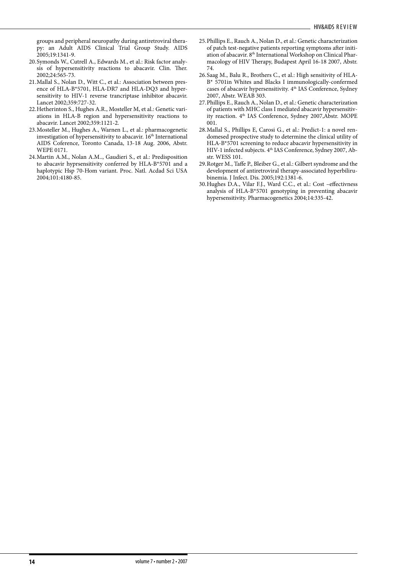groups and peripheral neuropathy during antiretroviral therapy: an Adult AIDS Clinical Trial Group Study. AIDS 2005;19:1341-9.

- 20.Symonds W., Cutrell A., Edwards M., et al.: Risk factor analysis of hypersensitivity reactions to abacavir. Clin. Ther. 2002;24:565-73.
- 21.Mallal S., Nolan D., Witt C., et al.: Association between presence of HLA-B\*5701, HLA-DR7 and HLA-DQ3 and hypersensitivity to HIV-1 reverse trancriptase inhibitor abacavir. Lancet 2002;359:727-32.
- 22.Hetherinton S., Hughes A.R., Mosteller M, et al.: Genetic variations in HLA-B region and hypersensitivity reactions to abacavir. Lancet 2002;359:1121-2.
- 23.Mosteller M., Hughes A., Warnen L., et al.: pharmacogenetic investigation of hypersensitivity to abacavir. 16<sup>th</sup> International AIDS Coference, Toronto Canada, 13-18 Aug. 2006, Abstr. WEPE 0171.
- 24.Martin A.M., Nolan A.M.., Gaudieri S., et al.: Predisposition to abacavir hyprsensitivity conferred by HLA-B\*5701 and a haplotypic Hsp 70-Hom variant. Proc. Natl. Acdad Sci USA 2004;101:4180-85.
- 25.Phillips E., Rauch A., Nolan D., et al.: Genetic characterization of patch test-negative patients reporting symptoms after initiation of abacavir. 8th International Workshop on Clinical Pharmacology of HIV Therapy, Budapest April 16-18 2007, Abstr. 74.
- 26.Saag M., Balu R., Brothers C., et al.: High sensitivity of HLA-B\* 5701in Whites and Blacks I immunologically-confermed cases of abacavir hypersensitivity. 4<sup>th</sup> IAS Conference, Sydney 2007, Abstr. WEAB 303.
- 27.Phillips E., Rauch A., Nolan D., et al.: Genetic characterization of patients with MHC class I mediated abacavir hypersensitivity reaction. 4<sup>th</sup> IAS Conference, Sydney 2007, Abstr. MOPE 001.
- 28.Mallal S., Phillips E, Carosi G., et al.: Predict-1: a novel rendomesed prospective study to determine the clinical utility of HLA-B\*5701 screening to reduce abacavir hypersensitivity in HIV-1 infected subjects. 4<sup>th</sup> IAS Conference, Sydney 2007, Abstr. WESS 101.
- 29.Rotger M., Taffe P., Bleiber G., et al.: Gilbert syndrome and the development of antiretroviral therapy-associated hyperbilirubinemia. J Infect. Dis. 2005;192:1381-6.
- 30.Hughes D.A., Vilar F.J., Ward C.C., et al.: Cost –effectivness analysis of HLA-B\*5701 genotyping in preventing abacavir hypersensitivity. Pharmacogenetics 2004;14:335-42.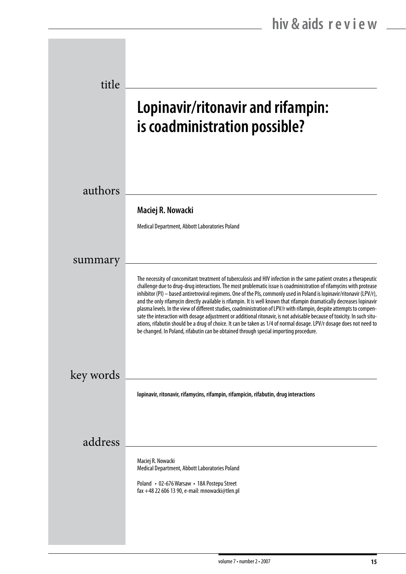| title     |                                                                                                                                                                                                                                                                                                                                                                                                                                                                                                                                                                                                                                                                                                                                                                                                                                                                                                                                                                      |
|-----------|----------------------------------------------------------------------------------------------------------------------------------------------------------------------------------------------------------------------------------------------------------------------------------------------------------------------------------------------------------------------------------------------------------------------------------------------------------------------------------------------------------------------------------------------------------------------------------------------------------------------------------------------------------------------------------------------------------------------------------------------------------------------------------------------------------------------------------------------------------------------------------------------------------------------------------------------------------------------|
|           | Lopinavir/ritonavir and rifampin:<br>is coadministration possible?                                                                                                                                                                                                                                                                                                                                                                                                                                                                                                                                                                                                                                                                                                                                                                                                                                                                                                   |
| authors   |                                                                                                                                                                                                                                                                                                                                                                                                                                                                                                                                                                                                                                                                                                                                                                                                                                                                                                                                                                      |
|           | Maciej R. Nowacki                                                                                                                                                                                                                                                                                                                                                                                                                                                                                                                                                                                                                                                                                                                                                                                                                                                                                                                                                    |
|           | Medical Department, Abbott Laboratories Poland                                                                                                                                                                                                                                                                                                                                                                                                                                                                                                                                                                                                                                                                                                                                                                                                                                                                                                                       |
| summary   |                                                                                                                                                                                                                                                                                                                                                                                                                                                                                                                                                                                                                                                                                                                                                                                                                                                                                                                                                                      |
|           | The necessity of concomitant treatment of tuberculosis and HIV infection in the same patient creates a therapeutic<br>challenge due to drug-drug interactions. The most problematic issue is coadministration of rifamycins with protease<br>inhibitor (PI) - based antiretroviral regimens. One of the PIs, commonly used in Poland is lopinavir/ritonavir (LPV/r),<br>and the only rifamycin directly available is rifampin. It is well known that rifampin dramatically decreases lopinavir<br>plasma levels. In the view of different studies, coadministration of LPV/r with rifampin, despite attempts to compen-<br>sate the interaction with dosage adjustment or additional ritonavir, is not advisable because of toxicity. In such situ-<br>ations, rifabutin should be a drug of choice. It can be taken as 1/4 of normal dosage. LPV/r dosage does not need to<br>be changed. In Poland, rifabutin can be obtained through special importing procedure. |
| key words |                                                                                                                                                                                                                                                                                                                                                                                                                                                                                                                                                                                                                                                                                                                                                                                                                                                                                                                                                                      |
|           | lopinavir, ritonavir, rifamycins, rifampin, rifampicin, rifabutin, drug interactions                                                                                                                                                                                                                                                                                                                                                                                                                                                                                                                                                                                                                                                                                                                                                                                                                                                                                 |
| address   |                                                                                                                                                                                                                                                                                                                                                                                                                                                                                                                                                                                                                                                                                                                                                                                                                                                                                                                                                                      |
|           | Maciej R. Nowacki<br>Medical Department, Abbott Laboratories Poland                                                                                                                                                                                                                                                                                                                                                                                                                                                                                                                                                                                                                                                                                                                                                                                                                                                                                                  |
|           | Poland • 02-676 Warsaw • 18A Postepu Street<br>fax +48 22 606 13 90, e-mail: mnowacki@tlen.pl                                                                                                                                                                                                                                                                                                                                                                                                                                                                                                                                                                                                                                                                                                                                                                                                                                                                        |
|           |                                                                                                                                                                                                                                                                                                                                                                                                                                                                                                                                                                                                                                                                                                                                                                                                                                                                                                                                                                      |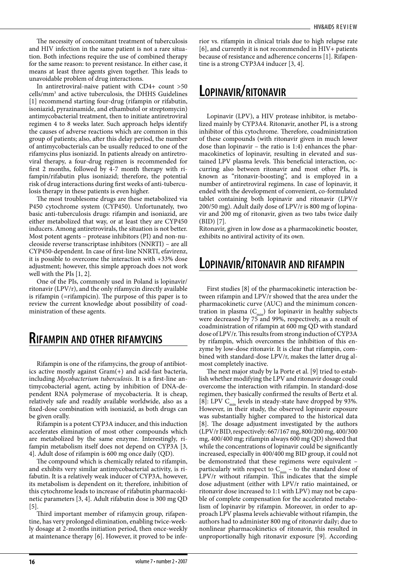The necessity of concomitant treatment of tuberculosis and HIV infection in the same patient is not a rare situation. Both infections require the use of combined therapy for the same reason: to prevent resistance. In either case, it means at least three agents given together. This leads to unavoidable problem of drug interactions.

In antiretroviral-naive patient with CD4+ count >50 cells/mm3 and active tuberculosis, the DHHS Guidelines [1] recommend starting four-drug (rifampin or rifabutin, isoniazid, pyrazinamide, and ethambutol or streptomycin) antimycobacterial treatment, then to initiate antiretroviral regimen 4 to 8 weeks later. Such approach helps identify the causes of adverse reactions which are common in this group of patients; also, after this delay period, the number of antimycobacterials can be usually reduced to one of the rifamycins plus isoniazid. In patients already on antiretroviral therapy, a four-drug regimen is recommended for first 2 months, followed by 4-7 month therapy with rifampin/rifabutin plus isoniazid; therefore, the potential risk of drug interactions during first weeks of anti-tuberculosis therapy in these patients is even higher.

The most troublesome drugs are these metabolized via P450 cytochrome system (CYP450). Unfortunately, two basic anti-tuberculosis drugs: rifampin and isoniazid, are either metabolized that way, or at least they are CYP450 inducers. Among antiretrovirals, the situation is not better. Most potent agents – protease inhibitors (PI) and non-nucleoside reverse transcriptase inhibitors (NNRTI) – are all CYP450-dependent. In case of first-line NNRTI, efavirenz, it is possible to overcome the interaction with +33% dose adjustment; however, this simple approach does not work well with the PIs [1, 2].

One of the PIs, commonly used in Poland is lopinavir/ ritonavir (LPV/r), and the only rifamycin directly available is rifampin (=rifampicin). The purpose of this paper is to review the current knowledge about possibility of coadministration of these agents.

#### **Rifampin and other rifamycins**

Rifampin is one of the rifamycins, the group of antibiotics active mostly against Gram(+) and acid-fast bacteria, including *Mycobacterium tuberculosis*. It is a first-line antimycobacterial agent, acting by inhibition of DNA-dependent RNA polymerase of mycobacteria. It is cheap, relatively safe and readily available worldwide, also as a fixed-dose combination with isoniazid, as both drugs can be given orally.

Rifampin is a potent CYP3A inducer, and this induction accelerates elimination of most other compounds which are metabolized by the same enzyme. Interestingly, rifampin metabolism itself does not depend on CYP3A [3, 4]. Adult dose of rifampin is 600 mg once daily (QD).

The compound which is chemically related to rifampin, and exhibits very similar antimycobacterial activity, is rifabutin. It is a relatively weak inducer of CYP3A, however, its metabolism is dependent on it; therefore, inhibition of this cytochrome leads to increase of rifabutin pharmacokinetic parameters [3, 4]. Adult rifabutin dose is 300 mg QD [5].

Third important member of rifamycin group, rifapentine, has very prolonged elimination, enabling twice-weekly dosage at 2-months initiation period, then once-weekly at maintenance therapy [6]. However, it proved to be inferior vs. rifampin in clinical trials due to high relapse rate [6], and currently it is not recommended in HIV+ patients because of resistance and adherence concerns [1]. Rifapentine is a strong CYP3A4 inducer [3, 4].

### **Lopinavir/ritonavir**

Lopinavir (LPV), a HIV protease inhibitor, is metabolized mainly by CYP3A4. Ritonavir, another PI, is a strong inhibitor of this cytochrome. Therefore, coadministration of these compounds (with ritonavir given in much lower dose than lopinavir – the ratio is 1:4) enhances the pharmacokinetics of lopinavir, resulting in elevated and sustained LPV plasma levels. This beneficial interaction, occurring also between ritonavir and most other PIs, is known as "ritonavir-boosting", and is employed in a number of antiretroviral regimens. In case of lopinavir, it ended with the development of convenient, co-formulated tablet containing both lopinavir and ritonavir (LPV/r 200/50 mg). Adult daily dose of LPV/r is 800 mg of lopinavir and 200 mg of ritonavir, given as two tabs twice daily (BID) [7].

Ritonavir, given in low dose as a pharmacokinetic booster, exhibits no antiviral activity of its own.

### **Lopinavir/ritonavir and rifampin**

First studies [8] of the pharmacokinetic interaction between rifampin and LPV/r showed that the area under the pharmacokinetic curve (AUC) and the minimum concentration in plasma  $(C_{min})$  for lopinavir in healthy subjects were decreased by 75 and 99%, respectively, as a result of coadministration of rifampin at 600 mg QD with standard dose of LPV/r. This results from strong induction of CYP3A by rifampin, which overcomes the inhibition of this enzyme by low-dose ritonavir. It is clear that rifampin, combined with standard-dose LPV/r, makes the latter drug almost completely inactive.

The next major study by la Porte et al. [9] tried to establish whether modifying the LPV and ritonavir dosage could overcome the interaction with rifampin. In standard-dose regimen, they basically confirmed the results of Bertz et al. [8]: LPV  $\text{C}_{\min}$  levels in steady-state have dropped by 93%. However, in their study, the observed lopinavir exposure was substantially higher compared to the historical data [8]. The dosage adjustment investigated by the authors (LPV/r BID, respectively: 667/167 mg, 800/200 mg, 400/300 mg, 400/400 mg; rifampin always 600 mg QD) showed that while the concentrations of lopinavir could be significantly increased, especially in 400/400 mg BID group, it could not be demonstrated that these regimens were equivalent – particularly with respect to  $C_{\min}$  – to the standard dose of LPV/r without rifampin. This indicates that the simple dose adjustment (either with LPV/r ratio maintained, or ritonavir dose increased to 1:1 with LPV) may not be capable of complete compensation for the accelerated metabolism of lopinavir by rifampin. Moreover, in order to approach LPV plasma levels achievable without rifampin, the authors had to administer 800 mg of ritonavir daily; due to nonlinear pharmacokinetics of ritonavir, this resulted in unproportionally high ritonavir exposure [9]. According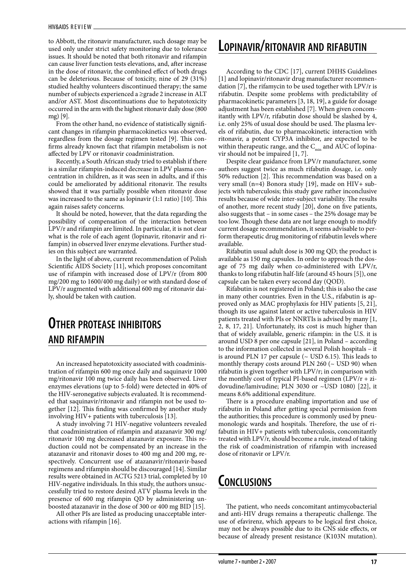to Abbott, the ritonavir manufacturer, such dosage may be used only under strict safety monitoring due to tolerance issues. It should be noted that both ritonavir and rifampin can cause liver function tests elevations, and, after increase in the dose of ritonavir, the combined effect of both drugs can be deleterious. Because of toxicity, nine of 29 (31%) studied healthy volunteers discontinued therapy; the same number of subjects experienced a ≥grade 2 increase in ALT and/or AST. Most discontinuations due to hepatotoxicity occurred in the arm with the highest ritonavir daily dose (800 mg) [9].

From the other hand, no evidence of statistically significant changes in rifampin pharmacokinetics was observed, regardless from the dosage regimen tested [9]. This confirms already known fact that rifampin metabolism is not affected by LPV or ritonavir coadministration.

Recently, a South African study tried to establish if there is a similar rifampin-induced decrease in LPV plasma concentration in children, as it was seen in adults, and if this could be ameliorated by additional ritonavir. The results showed that it was partially possible when ritonavir dose was increased to the same as lopinavir (1:1 ratio) [10]. This again raises safety concerns.

It should be noted, however, that the data regarding the possibility of compensation of the interaction between LPV/r and rifampin are limited. In particular, it is not clear what is the role of each agent (lopinavir, ritonavir and rifampin) in observed liver enzyme elevations. Further studies on this subject are warranted.

In the light of above, current recommendation of Polish Scientific AIDS Society [11], which proposes concomitant use of rifampin with increased dose of LPV/r (from 800 mg/200 mg to 1600/400 mg daily) or with standard dose of LPV/r augmented with additional 600 mg of ritonavir daily, should be taken with caution.

### **Other protease inhibitors and rifampin**

An increased hepatotoxicity associated with coadministration of rifampin 600 mg once daily and saquinavir 1000 mg/ritonavir 100 mg twice daily has been observed. Liver enzymes elevations (up to 5-fold) were detected in 40% of the HIV-seronegative subjects evaluated. It is recommended that saquinavir/ritonavir and rifampin not be used together [12]. This finding was confirmed by another study involving HIV+ patients with tuberculosis [13].

A study involving 71 HIV-negative volunteers revealed that coadministration of rifampin and atazanavir 300 mg/ ritonavir 100 mg decreased atazanavir exposure. This reduction could not be compensated by an increase in the atazanavir and ritonavir doses to 400 mg and 200 mg, respectively. Concurrent use of atazanavir/ritonavir-based regimens and rifampin should be discouraged [14]. Similar results were obtained in ACTG 5213 trial, completed by 10 HIV-negative individuals. In this study, the authors unsuccessfully tried to restore desired ATV plasma levels in the presence of 600 mg rifampin QD by administering unboosted atazanavir in the dose of 300 or 400 mg BID [15].

All other PIs are listed as producing unacceptable interactions with rifampin [16].

### **Lopinavir/ritonavir and rifabutin**

According to the CDC [17], current DHHS Guidelines [1] and lopinavir/ritonavir drug manufacturer recommendation [7], the rifamycin to be used together with LPV/r is rifabutin. Despite some problems with predictability of pharmacokinetic parameters [3, 18, 19], a guide for dosage adjustment has been established [7]. When given concomitantly with LPV/r, rifabutin dose should be slashed by 4, i.e. only 25% of usual dose should be used. The plasma levels of rifabutin, due to pharmacokinetic interaction with ritonavir, a potent CYP3A inhibitor, are expected to be within therapeutic range, and the  $C_{\text{min}}$  and AUC of lopinavir should not be impaired [1, 7].

Despite clear guidance from LPV/r manufacturer, some authors suggest twice as much rifabutin dosage, i.e. only 50% reduction [2]. This recommendation was based on a very small (n=4) Bonora study [19], made on HIV+ subjects with tuberculosis; this study gave rather inconclusive results because of wide inter-subject variability. The results of another, more recent study [20], done on five patients, also suggests that – in some cases – the 25% dosage may be too low. Though these data are not large enough to modify current dosage recommendation, it seems advisable to perform therapeutic drug monitoring of rifabutin levels where available.

Rifabutin usual adult dose is 300 mg QD; the product is available as 150 mg capsules. In order to approach the dosage of 75 mg daily when co-administered with LPV/r, thanks to long rifabutin half-life (around 45 hours [5]), one capsule can be taken every second day (QOD).

Rifabutin is not registered in Poland; this is also the case in many other countries. Even in the U.S., rifabutin is approved only as MAC prophylaxis for HIV patients [5, 21], though its use against latent or active tuberculosis in HIV patients treated with PIs or NNRTIs is advised by many [1, 2, 8, 17, 21]. Unfortunately, its cost is much higher than that of widely available, generic rifampin: in the U.S. it is around USD 8 per one capsule [21], in Poland – according to the information collected in several Polish hospitals – it is around PLN 17 per capsule ( $\sim$  USD 6.15). This leads to monthly therapy costs around PLN 260 ( $\sim$  USD 90) when rifabutin is given together with LPV/r; in comparison with the monthly cost of typical PI-based regimen  $(LPV/r + zi$ dovudine/lamivudine; PLN 3030 or  $\sim$ USD 1080) [22], it means 8.6% additional expenditure.

There is a procedure enabling importation and use of rifabutin in Poland after getting special permission from the authorities; this procedure is commonly used by pneumonologic wards and hospitals. Therefore, the use of rifabutin in HIV+ patients with tuberculosis, concomitantly treated with LPV/r, should become a rule, instead of taking the risk of coadministration of rifampin with increased dose of ritonavir or LPV/r.

### **Conclusions**

The patient, who needs concomitant antimycobacterial and anti-HIV drugs remains a therapeutic challenge. The use of efavirenz, which appears to be logical first choice, may not be always possible due to its CNS side effects, or because of already present resistance (K103N mutation).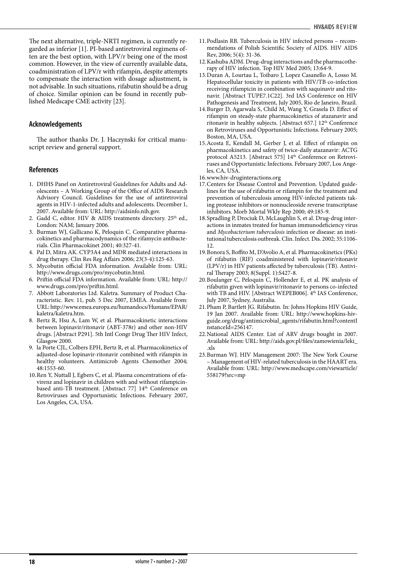The next alternative, triple-NRTI regimen, is currently regarded as inferior [1]. PI-based antiretroviral regimens often are the best option, with LPV/r being one of the most common. However, in the view of currently available data, coadministration of LPV/r with rifampin, despite attempts to compensate the interaction with dosage adjustment, is not advisable. In such situations, rifabutin should be a drug of choice. Similar opinion can be found in recently published Medscape CME activity [23].

#### **Acknowledgements**

The author thanks Dr. J. Haczynski for critical manuscript review and general support.

- 1. DHHS Panel on Antiretroviral Guidelines for Adults and Adolescents – A Working Group of the Office of AIDS Research Advisory Council. Guidelines for the use of antiretroviral agents in HIV-1-infected adults and adolescents. December 1, 2007. Available from: URL: http://aidsinfo.nih.gov.
- 2. Gadd C, editor. HIV & AIDS treatments directory. 25<sup>th</sup> ed., London: NAM; January 2006.
- 3. Burman WJ, Gallicano K, Peloquin C. Comparative pharmacokinetics and pharmacodynamics of the rifamycin antibacterials. Clin Pharmacokinet 2001; 40:327-41.
- 4. Pal D, Mitra AK. CYP3A4 and MDR mediated interactions in drug therapy. Clin Res Reg Affairs 2006; 23(3-4):125-63.
- 5. Mycobutin official FDA information. Available from: URL: http://www.drugs.com/pro/mycobutin.html.
- 6. Priftin official FDA information. Available from: URL: http:// www.drugs.com/pro/priftin.html.
- 7. Abbott Laboratories Ltd. Kaletra. Summary of Product Characteristic. Rev. 11, pub. 5 Dec 2007, EMEA. Available from: URL: http://www.emea.europa.eu/humandocs/Humans/EPAR/ kaletra/kaletra.htm.
- 8. Bertz R, Hsu A, Lam W, et al. Pharmacokinetic interactions between lopinavir/ritonavir (ABT-378r) and other non-HIV drugs. [Abstract P291]. 5th Intl Congr Drug Ther HIV Infect, Glasgow 2000.
- 9. la Porte CJL, Colbers EPH, Bertz R, et al. Pharmacokinetics of adjusted-dose lopinavir-ritonavir combined with rifampin in healthy volunteers. Antimicrob Agents Chemother 2004; 48:1553-60.
- 10.Ren Y, Nuttall J, Egbers C, et al. Plasma concentrations of efavirenz and lopinavir in children with and without rifampicinbased anti-TB treatment. [Abstract 77] 14<sup>th</sup> Conference on Retroviruses and Opportunistic Infections. February 2007, Los Angeles, CA, USA.
- 11.Podlasin RB. Tuberculosis in HIV infected persons recommendations of Polish Scientific Society of AIDS. HIV AIDS Rev, 2006; 5(4): 31-36.
- 12.Kashuba ADM. Drug-drug interactions and the pharmacotherapy of HIV infection. Top HIV Med 2005; 13:64-9.
- 13.Duran A, Lourtau L, Toibaro J, Lopez Casanello A, Losso M. Hepatocellular toxicity in patients with HIV/TB co-infection receiving rifampicin in combination with saquinavir and ritonavir. [Abstract TUPE7.1C22]. 3rd IAS Conference on HIV Pathogenesis and Treatment, July 2005, Rio de Janeiro, Brazil.
- 14.Burger D, Agarwala S, Child M, Wang Y, Grasela D. Effect of rifampin on steady-state pharmacokinetics of atazanavir and ritonavir in healthy subjects. [Abstract 657.] 12<sup>th</sup> Conference on Retroviruses and Opportunistic Infections. February 2005; Boston, MA, USA.
- 15.Acosta E, Kendall M, Gerber J, et al. Effect of rifampin on pharmacokinetics and safety of twice-daily atazanavir: ACTG protocol A5213. [Abstract 575] 14<sup>th</sup> Conference on Retroviruses and Opportunistic Infections. February 2007, Los Angeles, CA, USA.
- 16.www.hiv-druginteractions.org
- 17.Centers for Disease Control and Prevention. Updated guidelines for the use of rifabutin or rifampin for the treatment and prevention of tuberculosis among HIV-infected patients taking protease inhibitors or nonnucleoside reverse transcriptase inhibitors. Morb Mortal Wkly Rep 2000; 49:185-9.
- 18.Spradling P, Drociuk D, McLaughlin S, et al. Drug-drug interactions in inmates treated for human immunodeficiency virus and *Mycobacterium tuberculosis* infection or disease: an institutional tuberculosis outbreak. Clin. Infect. Dis. 2002; 35:1106- 12.
- 19.Bonora S, Boffito M, D'Avolio A, et al. Pharmacokinetics (PKs) of rifabutin (RIF) coadministered with lopinavir/ritonavir (LPV/r) in HIV patients affected by tuberculosis (TB). Antiviral Therapy 2003; 8(Suppl. 1):S427-8.
- 20.Boulanger C, Peloquin C, Hollender E, et al. PK analysis of rifabutin given with lopinavir/ritonavir to persons co-infected with TB and HIV. [Abstract WEPEB006].  $4<sup>th</sup>$  IAS Conference, July 2007, Sydney, Australia.
- 21.Pham P, Bartlett JG. Rifabutin. In: Johns Hopkins HIV Guide, 19 Jan 2007. Available from: URL: http://www.hopkins-hivguide.org/drug/antimicrobial\_agents/rifabutin.html?contentI nstanceId=256147.
- 22.National AIDS Center. List of ARV drugs bought in 2007. Available from: URL: http://aids.gov.pl/files/zamowienia/leki\_ .xls
- 23.Burman WJ. HIV Management 2007: The New York Course – Management of HIV-related tuberculosis in the HAART era. Available from: URL: http://www.medscape.com/viewarticle/ 558179?src=mp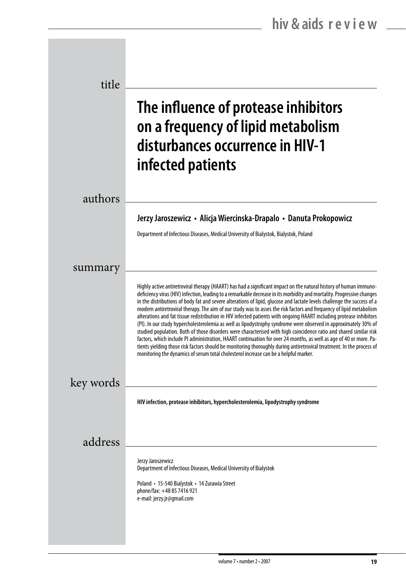| title     |                                                                                                                                                                                                                                                                                                                                                                                                                                                                                                                                                                                                                                                                                                                                                                                                                                                                                                                                                                                                                                                                                                                                                                                                      |
|-----------|------------------------------------------------------------------------------------------------------------------------------------------------------------------------------------------------------------------------------------------------------------------------------------------------------------------------------------------------------------------------------------------------------------------------------------------------------------------------------------------------------------------------------------------------------------------------------------------------------------------------------------------------------------------------------------------------------------------------------------------------------------------------------------------------------------------------------------------------------------------------------------------------------------------------------------------------------------------------------------------------------------------------------------------------------------------------------------------------------------------------------------------------------------------------------------------------------|
|           | The influence of protease inhibitors<br>on a frequency of lipid metabolism<br>disturbances occurrence in HIV-1<br>infected patients                                                                                                                                                                                                                                                                                                                                                                                                                                                                                                                                                                                                                                                                                                                                                                                                                                                                                                                                                                                                                                                                  |
| authors   |                                                                                                                                                                                                                                                                                                                                                                                                                                                                                                                                                                                                                                                                                                                                                                                                                                                                                                                                                                                                                                                                                                                                                                                                      |
|           | Jerzy Jaroszewicz • Alicja Wiercinska-Drapalo • Danuta Prokopowicz                                                                                                                                                                                                                                                                                                                                                                                                                                                                                                                                                                                                                                                                                                                                                                                                                                                                                                                                                                                                                                                                                                                                   |
|           | Department of Infectious Diseases, Medical University of Bialystok, Bialystok, Poland                                                                                                                                                                                                                                                                                                                                                                                                                                                                                                                                                                                                                                                                                                                                                                                                                                                                                                                                                                                                                                                                                                                |
| summary   |                                                                                                                                                                                                                                                                                                                                                                                                                                                                                                                                                                                                                                                                                                                                                                                                                                                                                                                                                                                                                                                                                                                                                                                                      |
|           | Highly active antiretroviral therapy (HAART) has had a significant impact on the natural history of human immuno-<br>deficiency virus (HIV) infection, leading to a remarkable decrease in its morbidity and mortality. Progressive changes<br>in the distributions of body fat and severe alterations of lipid, glucose and lactate levels challenge the success of a<br>modern antiretroviral therapy. The aim of our study was to asses the risk factors and frequency of lipid metabolism<br>alterations and fat tissue redistribution in HIV infected patients with ongoing HAART including protease inhibitors<br>(PI). In our study hypercholesterolemia as well as lipodystrophy syndrome were observed in approximately 30% of<br>studied population. Both of those disorders were characterised with high coincidence ratio and shared similar risk<br>factors, which include PI administration, HAART continuation for over 24 months, as well as age of 40 or more. Pa-<br>tients yielding those risk factors should be monitoring thoroughly during antiretroviral treatment. In the process of<br>monitoring the dynamics of serum total cholesterol increase can be a helpful marker. |
| key words |                                                                                                                                                                                                                                                                                                                                                                                                                                                                                                                                                                                                                                                                                                                                                                                                                                                                                                                                                                                                                                                                                                                                                                                                      |
|           | HIV infection, protease inhibitors, hypercholesterolemia, lipodystrophy syndrome                                                                                                                                                                                                                                                                                                                                                                                                                                                                                                                                                                                                                                                                                                                                                                                                                                                                                                                                                                                                                                                                                                                     |
| address   |                                                                                                                                                                                                                                                                                                                                                                                                                                                                                                                                                                                                                                                                                                                                                                                                                                                                                                                                                                                                                                                                                                                                                                                                      |
|           | Jerzy Jaroszewicz<br>Department of Infectious Diseases, Medical University of Bialystok<br>Poland • 15-540 Bialystok • 14 Zurawia Street<br>phone/fax: +48 85 7416 921<br>e-mail: jerzy.jr@gmail.com                                                                                                                                                                                                                                                                                                                                                                                                                                                                                                                                                                                                                                                                                                                                                                                                                                                                                                                                                                                                 |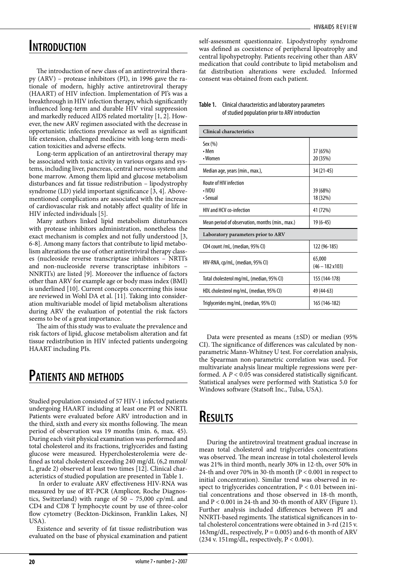#### **Introduction**

The introduction of new class of an antiretroviral therapy (ARV) – protease inhibitors (PI), in 1996 gave the rationale of modern, highly active antiretroviral therapy (HAART) of HIV infection. Implementation of PI's was a breakthrough in HIV infection therapy, which significantly influenced long-term and durable HIV viral suppression and markedly reduced AIDS related mortality [1, 2]. However, the new ARV regimen associated with the decrease in opportunistic infections prevalence as well as significant life extension, challenged medicine with long-term medication toxicities and adverse effects.

Long-term application of an antiretroviral therapy may be associated with toxic activity in various organs and systems, including liver, pancreas, central nervous system and bone marrow. Among them lipid and glucose metabolism disturbances and fat tissue redistribution – lipodystrophy syndrome (LD) yield important significance [3, 4]. Abovementioned complications are associated with the increase of cardiovascular risk and notably affect quality of life in HIV infected individuals [5].

Many authors linked lipid metabolism disturbances with protease inhibitors administration, nonetheless the exact mechanism is complex and not fully understood [3, 6-8]. Among many factors that contribute to lipid metabolism alterations the use of other antiretriviral therapy classes (nucleoside reverse transcriptase inhibitors – NRTI's and non-nucleoside reverse transcriptase inhibitors – NNRTI's) are listed [9]. Moreover the influence of factors other than ARV for example age or body mass index (BMI) is underlined [10]. Current concepts concerning this issue are reviewed in Wohl DA et al. [11]. Taking into consideration multivariable model of lipid metabolism alterations during ARV the evaluation of potential the risk factors seems to be of a great importance.

The aim of this study was to evaluate the prevalence and risk factors of lipid, glucose metabolism alteration and fat tissue redistribution in HIV infected patients undergoing HAART including PIs.

#### **Patients and methods**

Studied population consisted of 57 HIV-1 infected patients undergoing HAART including at least one PI or NNRTI. Patients were evaluated before ARV introduction and in the third, sixth and every six months following. The mean period of observation was 19 months (min. 6, max. 45). During each visit physical examination was performed and total cholesterol and its fractions, triglycerides and fasting glucose were measured. Hypercholesterolemia were defined as total cholesterol exceeding 240 mg/dL (6,2 mmol/ L, grade 2) observed at least two times [12]. Clinical characteristics of studied population are presented in Table 1.

 In order to evaluate ARV effectiveness HIV-RNA was measured by use of RT-PCR (Amplicor, Roche Diagnostics, Switzerland) with range of 50 – 75,000 cp/mL and CD4 and CD8 T lymphocyte count by use of three-color flow cytometry (Beckton-Dickinson, Franklin Lakes, NJ USA).

Existence and severity of fat tissue redistribution was evaluated on the base of physical examination and patient self-assessment questionnaire. Lipodystrophy syndrome was defined as coexistence of peripheral lipoatrophy and central lipohypetrophy. Patients receiving other than ARV medication that could contribute to lipid metabolism and fat distribution alterations were excluded. Informed consent was obtained from each patient.

#### **Table 1.** Clinical characteristics and laboratory parameters of studied population prior to ARV introduction

| <b>Clinical characteristics</b>                           |                                   |  |  |
|-----------------------------------------------------------|-----------------------------------|--|--|
| Sex (%)<br>• Men<br>• Women                               | 37 (65%)<br>20 (35%)              |  |  |
| Median age, years (min., max.),                           | 34 (21-45)                        |  |  |
| <b>Route of HIV infection</b><br>$\cdot$ IVDU<br>• Sexual | 39 (68%)<br>18 (32%)              |  |  |
| HIV and HCV co-infection                                  | 41 (72%)                          |  |  |
| Mean period of observation, months (min., max.)           | 19 (6-45)                         |  |  |
| Laboratory parameters prior to ARV                        |                                   |  |  |
| CD4 count /mL, (median, 95% CI)                           | 122 (96-185)                      |  |  |
| HIV-RNA, cp/mL, (median, 95% CI)                          | 65,000<br>$(46 - 182 \times 103)$ |  |  |
| Total cholesterol mg/mL, (median, 95% CI)                 | 155 (144-178)                     |  |  |
| HDL cholesterol mg/mL, (median, 95% CI)                   | 49 (44-63)                        |  |  |
| Triglycerides mg/mL, (median, 95% CI)                     | 165 (146-182)                     |  |  |

Data were presented as means (±SD) or median (95% CI). The significance of differences was calculated by nonparametric Mann-Whitney U test. For correlation analysis, the Spearman non-parametric correlation was used. For multivariate analysis linear multiple regressions were performed. A *P* < 0.05 was considered statistically significant. Statistical analyses were performed with Statistica 5.0 for Windows software (Statsoft Inc., Tulsa, USA).

### **Results**

During the antiretroviral treatment gradual increase in mean total cholesterol and triglycerides concentrations was observed. The mean increase in total cholesterol levels was 21% in third month, nearly 30% in 12-th, over 50% in 24-th and over 70% in 30-th month (P < 0.001 in respect to initial concentration). Similar trend was observed in respect to triglycerides concentration, P < 0.01 between initial concentrations and those observed in 18-th month, and P < 0.001 in 24-th and 30-th month of ARV (Figure 1). Further analysis included differences between PI and NNRTI-based regiments. The statistical significances in total cholesterol concentrations were obtained in 3-rd (215 v. 163mg/dL, respectively, P = 0.005) and 6-th month of ARV (234 v. 151mg/dL, respectively,  $P < 0.001$ ).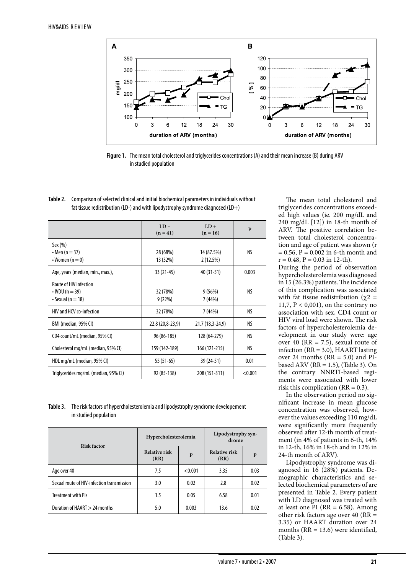

**Figure 1.** The mean total cholesterol and triglycerides concentrations (A) and their mean increase (B) during ARV in studied population

|                                                                                   | $LD -$<br>$(n = 41)$ | $LD +$<br>$(n = 16)$   | P         |
|-----------------------------------------------------------------------------------|----------------------|------------------------|-----------|
| Sex (%)<br>$\cdot$ Men (n = 37)<br>• Women $(n = 0)$                              | 28 (68%)<br>13 (32%) | 14 (87.5%)<br>2(12.5%) | <b>NS</b> |
| Age, years (median, min., max.),                                                  | 33 (21-45)           | 40 (31-51)             | 0.003     |
| <b>Route of HIV infection</b><br>$\cdot$ IVDU (n = 39)<br>$\cdot$ Sexual (n = 18) | 32 (78%)<br>9(22%)   | 9(56%)<br>7 (44%)      | <b>NS</b> |
| HIV and HCV co-infection                                                          | 32 (78%)             | 7 (44%)                | NS.       |
| BMI (median, 95% CI)                                                              | 22.8 (20,8-23,9)     | 21.7 (18,3-24,9)       | NS.       |
| CD4 count/mL (median, 95% CI)                                                     | 96 (86-185)          | 128 (64-279)           | NS.       |
| Cholesterol mg/mL (median, 95% CI)                                                | 159 (142-189)        | 166 (121-215)          | <b>NS</b> |
| HDL mg/mL (median, 95% CI)                                                        | 55 (51-65)           | 39 (24-51)             | 0.01      |
| Triglycerides mg/mL (median, 95% CI)                                              | 92 (85-138)          | 208 (151-311)          | < 0.001   |

| Table 2. Comparison of selected clinical and initial biochemical parameters in individuals without |  |  |  |
|----------------------------------------------------------------------------------------------------|--|--|--|
| fat tissue redistribution (LD-) and with lipodystrophy syndrome diagnosed (LD+)                    |  |  |  |

#### **Table 3.** The risk factors of hypercholesterolemia and lipodystrophy syndrome developement in studied population

| Risk factor                                | Hypercholesterolemia         |         | Lipodystrophy syn-<br>drome  |      |
|--------------------------------------------|------------------------------|---------|------------------------------|------|
|                                            | <b>Relative risk</b><br>(RR) | P       | <b>Relative risk</b><br>(RR) | P    |
| Age over 40                                | 7,5                          | < 0.001 | 3.35                         | 0.03 |
| Sexual route of HIV-infection transmission | 3.0                          | 0.02    | 2.8                          | 0.02 |
| <b>Treatment with Pls</b>                  | $1.5\,$                      | 0.05    | 6.58                         | 0.01 |
| Duration of HAART $>$ 24 months            | 5.0                          | 0.003   | 13.6                         | 0.02 |

The mean total cholesterol and triglycerides concentrations exceeded high values (ie. 200 mg/dL and 240 mg/dL [12]) in 18-th month of ARV. The positive correlation between total cholesterol concentration and age of patient was shown (r  $= 0.56$ ,  $P = 0.002$  in 6-th month and  $r = 0.48$ ,  $P = 0.03$  in 12-th).

During the period of observation hypercholesterolemia was diagnosed in 15 (26.3%) patients. The incidence of this complication was associated with fat tissue redistribution ( $\chi$ 2 = 11,7,  $P < 0,001$ ), on the contrary no association with sex, CD4 count or HIV viral load were shown. The risk factors of hypercholesterolemia development in our study were: age over 40 ( $RR = 7.5$ ), sexual route of infection ( $RR = 3.0$ ), HAART lasting over 24 months ( $RR = 5.0$ ) and PIbased ARV (RR = 1.5), (Table 3). On the contrary NNRTI-based regiments were associated with lower risk this complication  $(RR = 0.3)$ .

In the observation period no significant increase in mean glucose concentration was observed, however the values exceeding 110 mg/dL were significantly more frequently observed after 12-th month of treatment (in 4% of patients in 6-th, 14% in 12-th, 16% in 18-th and in 12% in 24-th month of ARV).

Lipodystrophy syndrome was diagnosed in 16 (28%) patients. Demographic characteristics and selected biochemical parameters of are presented in Table 2. Every patient with LD diagnosed was treated with at least one PI ( $RR = 6.58$ ). Among other risk factors age over 40 (RR = 3.35) or HAART duration over 24 months ( $RR = 13.6$ ) were identified, (Table 3).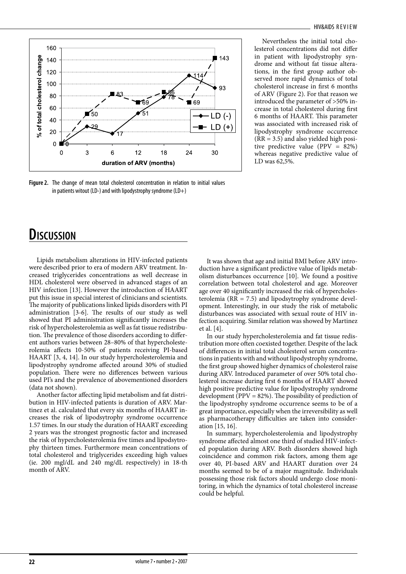Nevertheless the initial total cholesterol concentrations did not differ in patient with lipodystrophy syndrome and without fat tissue alterations, in the first group author observed more rapid dynamics of total cholesterol increase in first 6 months of ARV (Figure 2). For that reason we introduced the parameter of >50% increase in total cholesterol during first 6 months of HAART. This parameter was associated with increased risk of lipodystrophy syndrome occurrence (RR = 3.5) and also yielded high positive predictive value (PPV = 82%) whereas negative predictive value of



**Figure 2.** The change of mean total cholesterol concentration in relation to initial values in patients witout (LD-) and with lipodystrophy syndrome (LD+)

### **Discussion**

Lipids metabolism alterations in HIV-infected patients were described prior to era of modern ARV treatment. Increased triglycerides concentrations as well decrease in HDL cholesterol were observed in advanced stages of an HIV infection [13]. However the introduction of HAART put this issue in special interest of clinicians and scientists. The majority of publications linked lipids disorders with PI administration [3-6]. The results of our study as well showed that PI administration significantly increases the risk of hypercholesterolemia as well as fat tissue redistribution. The prevalence of those disorders according to different authors varies between 28–80% of that hypercholesterolemia affects 10-50% of patients receiving PI-based HAART [3, 4, 14]. In our study hypercholesterolemia and lipodystrophy syndrome affected around 30% of studied population. There were no differences between various used PI's and the prevalence of abovementioned disorders (data not shown).

Another factor affecting lipid metabolism and fat distribution in HIV-infected patients is duration of ARV. Martinez et al. calculated that every six months of HAART increases the risk of lipodsytrophy syndrome occurrence 1.57 times. In our study the duration of HAART exceeding 2 years was the strongest prognostic factor and increased the risk of hypercholesterolemia five times and lipodsytrophy thirteen times. Furthermore mean concentrations of total cholesterol and triglycerides exceeding high values (ie. 200 mgl/dL and 240 mg/dL respectively) in 18-th month of ARV.

It was shown that age and initial BMI before ARV introduction have a significant predictive value of lipids metabolism disturbances occurrence [10]. We found a positive correlation between total cholesterol and age. Moreover age over 40 significantly increased the risk of hypercholesterolemia ( $RR = 7.5$ ) and lipodsytrophy syndrome development. Interestingly, in our study the risk of metabolic disturbances was associated with sexual route of HIV infection acquiring. Similar relation was showed by Martinez et al. [4].

LD was 62,5%.

In our study hypercholesterolemia and fat tissue redistribution more often coexisted together. Despite of the lack of differences in initial total cholesterol serum concentrations in patients with and without lipodystrophy syndrome, the first group showed higher dynamics of cholesterol raise during ARV. Introduced parameter of over 50% total cholesterol increase during first 6 months of HAART showed high positive predictive value for lipodystrophy syndrome development ( $PPV = 82%$ ). The possibility of prediction of the lipodystrophy syndrome occurrence seems to be of a great importance, especially when the irreversibility as well as pharmacotherapy difficulties are taken into consideration [15, 16].

In summary, hypercholesterolemia and lipodystrophy syndrome affected almost one third of studied HIV-infected population during ARV. Both disorders showed high coincidence and common risk factors, among them age over 40, PI-based ARV and HAART duration over 24 months seemed to be of a major magnitude. Individuals possessing those risk factors should undergo close monitoring, in which the dynamics of total cholesterol increase could be helpful.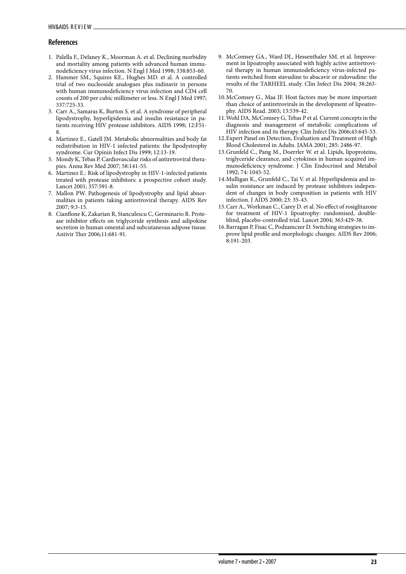- 1. Palella F., Delaney K., Moorman A. et al. Declining morbidity and mortality among patients with advanced human immunodeficiency virus infection. N Engl J Med 1998; 338:853-60.
- 2. Hammer SM., Squires KE., Hughes MD. et al. A controlled trial of two nucleoside analogues plus indinavir in persons with human immunodeficiency virus infection and CD4 cell counts of 200 per cubic millimeter or less. N Engl J Med 1997; 337:725-33.
- 3. Carr A., Samaras K, Burton S. et al. A syndrome of peripheral lipodystrophy, hyperlipidemia and insulin resistance in patients receiving HIV protease inhibitors. AIDS 1998; 12:F51- 8.
- 4. Martinez E., Gatell JM. Metabolic abnormalities and body fat redistribution in HIV-1 infected patients: the lipodystrophy syndrome. Cur Opinin Infect Dis 1999; 12:13-19.
- 5. Mondy K, Tebas P. Cardiovascular risks of antiretroviral therapies. Annu Rev Med 2007; 58:141-55.
- 6. Martinez E.: Risk of lipodystrophy in HIV-1-infected patients treated with protease inhibitors: a prospective cohort study. Lancet 2001; 357:591-8.
- 7. Mallon PW. Pathogenesis of lipodystrophy and lipid abnormalities in patients taking antiretroviral therapy. AIDS Rev  $2007:9:3-15.$
- 8. Cianflone K, Zakarian R, Stanculescu C, Germinario R. Protease inhibitor effects on triglyceride synthesis and adipokine secretion in human omental and subcutaneous adipose tissue. Antivir Ther 2006;11:681-91.
- 9. McComsey GA., Ward DJ., Hessenthaler SM. et al. Improvement in lipoatrophy associated with highly active antiretroviral therapy in human immunodeficiency virus-infected patients switched from stavudine to abacavir or zidovudine: the results of the TARHEEL study. Clin Infect Dis 2004; 38:263- 70.
- 10.McComsey G., Maa JF. Host factors may be more important than choice of antiretrovirals in the development of lipoatrophy. AIDS Read. 2003; 13:539-42.
- 11.Wohl DA, McComsey G, Tebas P et al. Current concepts in the diagnosis and management of metabolic complications of HIV infection and its therapy. Clin Infect Dis 2006;43:645-53.
- 12.Expert Panel on Detection, Evaluation and Treatment of High Blood Cholesterol in Adults. JAMA 2001; 285: 2486-97.
- 13.Grunfeld C., Pang M., Doerrler W. et al. Lipids, lipoproteins, triglyceride clearance, and cytokines in human acquired immunodeficiency syndrome. J Clin Endocrinol and Metabol 1992; 74: 1045-52.
- 14.Mulligan K., Grunfeld C., Tai V. et al. Hyperlipidemia and insulin resistance are induced by protease inhibitors independent of changes in body composition in patients with HIV infection. J AIDS 2000; 23: 35-43.
- 15.Carr A., Workman C., Carey D. et al. No effect of rosiglitazone for treatment of HIV-1 lipoatrophy: randomised, doubleblind, placebo-controlled trial. Lancet 2004; 363:429-38.
- 16.Barragan P, Fisac C, Podzamczer D. Switching strategies to improve lipid profile and morphologic changes. AIDS Rev 2006; 8:191-203.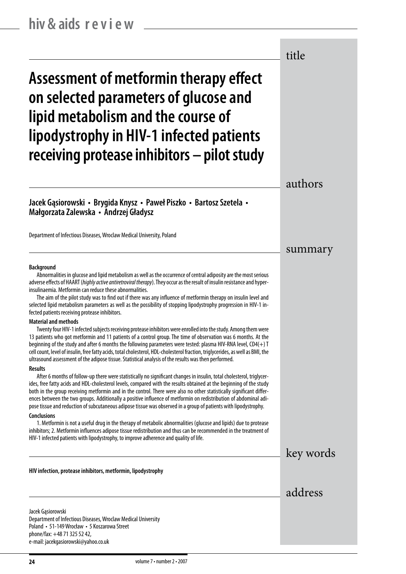|                                                                                                                                                                                                                                                                                                                                                                                                                                                                                                                                                                                                                                                                                                                                                                                                                                                                                                                                                                                                                                                                                                                                                                                                                                                                                                                                                                                                                                                                                                                                                                                                                                                                                                                                                                                                                                                                                                                                                                                                                                                                                                                                                              | title     |
|--------------------------------------------------------------------------------------------------------------------------------------------------------------------------------------------------------------------------------------------------------------------------------------------------------------------------------------------------------------------------------------------------------------------------------------------------------------------------------------------------------------------------------------------------------------------------------------------------------------------------------------------------------------------------------------------------------------------------------------------------------------------------------------------------------------------------------------------------------------------------------------------------------------------------------------------------------------------------------------------------------------------------------------------------------------------------------------------------------------------------------------------------------------------------------------------------------------------------------------------------------------------------------------------------------------------------------------------------------------------------------------------------------------------------------------------------------------------------------------------------------------------------------------------------------------------------------------------------------------------------------------------------------------------------------------------------------------------------------------------------------------------------------------------------------------------------------------------------------------------------------------------------------------------------------------------------------------------------------------------------------------------------------------------------------------------------------------------------------------------------------------------------------------|-----------|
| Assessment of metformin therapy effect<br>on selected parameters of glucose and<br>lipid metabolism and the course of<br>lipodystrophy in HIV-1 infected patients<br>receiving protease inhibitors – pilot study                                                                                                                                                                                                                                                                                                                                                                                                                                                                                                                                                                                                                                                                                                                                                                                                                                                                                                                                                                                                                                                                                                                                                                                                                                                                                                                                                                                                                                                                                                                                                                                                                                                                                                                                                                                                                                                                                                                                             |           |
|                                                                                                                                                                                                                                                                                                                                                                                                                                                                                                                                                                                                                                                                                                                                                                                                                                                                                                                                                                                                                                                                                                                                                                                                                                                                                                                                                                                                                                                                                                                                                                                                                                                                                                                                                                                                                                                                                                                                                                                                                                                                                                                                                              | authors   |
| Jacek Gąsiorowski · Brygida Knysz · Paweł Piszko · Bartosz Szetela ·<br>Małgorzata Zalewska • Andrzej Gładysz                                                                                                                                                                                                                                                                                                                                                                                                                                                                                                                                                                                                                                                                                                                                                                                                                                                                                                                                                                                                                                                                                                                                                                                                                                                                                                                                                                                                                                                                                                                                                                                                                                                                                                                                                                                                                                                                                                                                                                                                                                                |           |
| Department of Infectious Diseases, Wroclaw Medical University, Poland                                                                                                                                                                                                                                                                                                                                                                                                                                                                                                                                                                                                                                                                                                                                                                                                                                                                                                                                                                                                                                                                                                                                                                                                                                                                                                                                                                                                                                                                                                                                                                                                                                                                                                                                                                                                                                                                                                                                                                                                                                                                                        |           |
|                                                                                                                                                                                                                                                                                                                                                                                                                                                                                                                                                                                                                                                                                                                                                                                                                                                                                                                                                                                                                                                                                                                                                                                                                                                                                                                                                                                                                                                                                                                                                                                                                                                                                                                                                                                                                                                                                                                                                                                                                                                                                                                                                              | summary   |
| <b>Background</b><br>Abnormalities in glucose and lipid metabolism as well as the occurrence of central adiposity are the most serious<br>adverse effects of HAART (highly active antiretroviral therapy). They occur as the result of insulin resistance and hyper-<br>insulinaemia. Metformin can reduce these abnormalities.<br>The aim of the pilot study was to find out if there was any influence of metformin therapy on insulin level and<br>selected lipid metabolism parameters as well as the possibility of stopping lipodystrophy progression in HIV-1 in-<br>fected patients receiving protease inhibitors.<br><b>Material and methods</b><br>Twenty four HIV-1 infected subjects receiving protease inhibitors were enrolled into the study. Among them were<br>13 patients who got metformin and 11 patients of a control group. The time of observation was 6 months. At the<br>beginning of the study and after 6 months the following parameters were tested: plasma HIV-RNA level, CD4(+) T<br>cell count, level of insulin, free fatty acids, total cholesterol, HDL-cholesterol fraction, triglycerides, as well as BMI, the<br>ultrasound assessment of the adipose tissue. Statistical analysis of the results was then performed.<br><b>Results</b><br>After 6 months of follow-up there were statistically no significant changes in insulin, total cholesterol, triglycer-<br>ides, free fatty acids and HDL-cholesterol levels, compared with the results obtained at the beginning of the study<br>both in the group receiving metformin and in the control. There were also no other statistically significant differ-<br>ences between the two groups. Additionally a positive influence of metformin on redistribution of abdominal adi-<br>pose tissue and reduction of subcutaneous adipose tissue was observed in a group of patients with lipodystrophy.<br><b>Conclusions</b><br>1. Metformin is not a useful drug in the therapy of metabolic abnormalities (glucose and lipids) due to protease<br>inhibitors; 2. Metformin influences adipose tissue redistribution and thus can be recommended in the treatment of |           |
| HIV-1 infected patients with lipodystrophy, to improve adherence and quality of life.                                                                                                                                                                                                                                                                                                                                                                                                                                                                                                                                                                                                                                                                                                                                                                                                                                                                                                                                                                                                                                                                                                                                                                                                                                                                                                                                                                                                                                                                                                                                                                                                                                                                                                                                                                                                                                                                                                                                                                                                                                                                        |           |
|                                                                                                                                                                                                                                                                                                                                                                                                                                                                                                                                                                                                                                                                                                                                                                                                                                                                                                                                                                                                                                                                                                                                                                                                                                                                                                                                                                                                                                                                                                                                                                                                                                                                                                                                                                                                                                                                                                                                                                                                                                                                                                                                                              | key words |
| HIV infection, protease inhibitors, metformin, lipodystrophy                                                                                                                                                                                                                                                                                                                                                                                                                                                                                                                                                                                                                                                                                                                                                                                                                                                                                                                                                                                                                                                                                                                                                                                                                                                                                                                                                                                                                                                                                                                                                                                                                                                                                                                                                                                                                                                                                                                                                                                                                                                                                                 |           |
|                                                                                                                                                                                                                                                                                                                                                                                                                                                                                                                                                                                                                                                                                                                                                                                                                                                                                                                                                                                                                                                                                                                                                                                                                                                                                                                                                                                                                                                                                                                                                                                                                                                                                                                                                                                                                                                                                                                                                                                                                                                                                                                                                              | address   |
| Jacek Gąsiorowski<br>Department of Infectious Diseases, Wroclaw Medical University<br>Poland • 51-149 Wrocław • 5 Koszarowa Street<br>phone/fax: +48 71 325 52 42,<br>e-mail: jacekgasiorowski@yahoo.co.uk                                                                                                                                                                                                                                                                                                                                                                                                                                                                                                                                                                                                                                                                                                                                                                                                                                                                                                                                                                                                                                                                                                                                                                                                                                                                                                                                                                                                                                                                                                                                                                                                                                                                                                                                                                                                                                                                                                                                                   |           |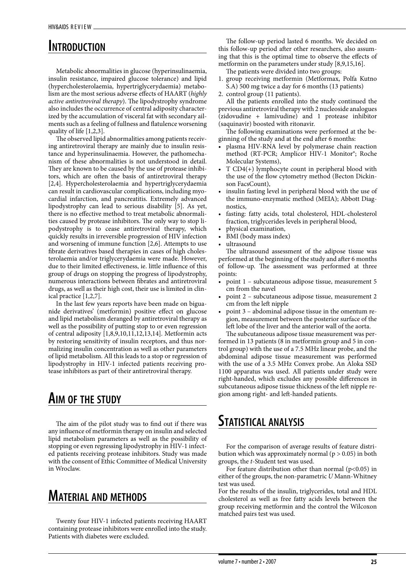### **Introduction**

Metabolic abnormalities in glucose (hyperinsulinaemia, insulin resistance, impaired glucose tolerance) and lipid (hypercholesterolaemia, hypertriglycerydaemia) metabolism are the most serious adverse effects of HAART (*highly active antiretroviral therapy*). The lipodystrophy syndrome also includes the occurrence of central adiposity characterized by the accumulation of visceral fat with secondary ailments such as a feeling of fullness and flatulence worsening quality of life [1,2,3].

The observed lipid abnormalities among patients receiving antiretroviral therapy are mainly due to insulin resistance and hyperinsulinaemia. However, the pathomechanism of these abnormalities is not understood in detail. They are known to be caused by the use of protease inhibitors, which are often the basis of antiretroviral therapy [2,4]. Hypercholesterolaemia and hypertriglycerydaemia can result in cardiovascular complications, including myocardial infarction, and pancreatitis. Extremely advanced lipodystrophy can lead to serious disability [5]. As yet, there is no effective method to treat metabolic abnormalities caused by protease inhibitors. The only way to stop lipodystrophy is to cease antiretroviral therapy, which quickly results in irreversible progression of HIV infection and worsening of immune function [2,6]. Attempts to use fibrate derivatives based therapies in cases of high cholesterolaemia and/or triglycerydaemia were made. However, due to their limited effectiveness, ie. little influence of this group of drugs on stopping the progress of lipodystrophy, numerous interactions between fibrates and antiretroviral drugs, as well as their high cost, their use is limited in clinical practice [1,2,7].

In the last few years reports have been made on biguanide derivatives' (metformin) positive effect on glucose and lipid metabolism deranged by antiretroviral therapy as well as the possibility of putting stop to or even regression of central adiposity [1,8,9,10,11,12,13,14]. Metformin acts by restoring sensitivity of insulin receptors, and thus normalizing insulin concentration as well as other parameters of lipid metabolism. All this leads to a stop or regression of lipodystrophy in HIV-1 infected patients receiving protease inhibitors as part of their antiretroviral therapy.

### **Aim of the study**

The aim of the pilot study was to find out if there was any influence of metformin therapy on insulin and selected lipid metabolism parameters as well as the possibility of stopping or even regressing lipodystrophy in HIV-1 infected patients receiving protease inhibitors. Study was made with the consent of Ethic Committee of Medical University in Wroclaw.

### **Material and methods**

Twenty four HIV-1 infected patients receiving HAART containing protease inhibitors were enrolled into the study. Patients with diabetes were excluded.

The follow-up period lasted 6 months. We decided on this follow-up period after other researchers, also assuming that this is the optimal time to observe the effects of metformin on the parameters under study [8,9,15,16].

The patients were divided into two groups:

- 1. group receiving metformin (Metformax, Polfa Kutno S.A) 500 mg twice a day for 6 months (13 patients)
- 2. control group (11 patients).

All the patients enrolled into the study continued the previous antiretroviral therapy with 2 nucleoside analogues (zidovudine + lamivudine) and 1 protease inhibitor (saquinavir) boosted with ritonavir.

The following examinations were performed at the beginning of the study and at the end after 6 months:

- plasma HIV-RNA level by polymerase chain reaction method (RT-PCR; Amplicor HIV-1 Monitor®; Roche Molecular Systems),
- $T \text{ CD4}(+)$  lymphocyte count in peripheral blood with the use of the flow cytometry method (Becton Dickinson FacsCount),
- insulin fasting level in peripheral blood with the use of the immuno-enzymatic method (MEIA); Abbott Diagnostics,
- fasting: fatty acids, total cholesterol, HDL-cholesterol fraction, triglycerides levels in peripheral blood,
- physical examination,
- BMI (body mass index)
- ultrasound

The ultrasound assessment of the adipose tissue was performed at the beginning of the study and after 6 months of follow-up. The assessment was performed at three points:

- point 1 subcutaneous adipose tissue, measurement 5 cm from the navel
- point 2 subcutaneous adipose tissue, measurement 2 cm from the left nipple
- point 3 abdominal adipose tissue in the omentum region, measurement between the posterior surface of the left lobe of the liver and the anterior wall of the aorta.

The subcutaneous adipose tissue measurement was performed in 13 patients (8 in metformin group and 5 in control group) with the use of a 7.5 MHz linear probe, and the abdominal adipose tissue measurement was performed with the use of a 3.5 MHz Convex probe. An Aloka SSD 1100 apparatus was used. All patients under study were right-handed, which excludes any possible differences in subcutaneous adipose tissue thickness of the left nipple region among right- and left-handed patients.

### **Statistical analysis**

For the comparison of average results of feature distribution which was approximately normal ( $p > 0.05$ ) in both groups, the *t*-Student test was used.

For feature distribution other than normal ( $p$ <0.05) in either of the groups, the non-parametric *U* Mann-Whitney test was used.

For the results of the insulin, triglycerides, total and HDL cholesterol as well as free fatty acids levels between the group receiving metformin and the control the Wilcoxon matched pairs test was used.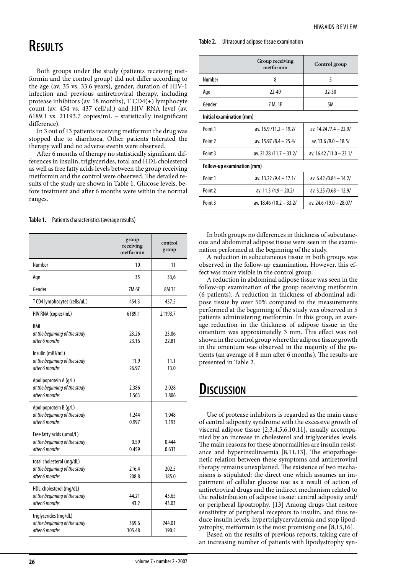#### **Results**

Both groups under the study (patients receiving metformin and the control group) did not differ according to the age (av. 35 vs. 33.6 years), gender, duration of HIV-1 infection and previous antiretroviral therapy, including protease inhibitors (av. 18 months), T CD4(+) lymphocyte count (av. 454 vs. 437 cell/μl.) and HIV RNA level (av. 6189.1 vs. 21193.7 copies/mL – statistically insignificant difference).

In 3 out of 13 patients receiving metformin the drug was stopped due to diarrhoea. Other patients tolerated the therapy well and no adverse events were observed.

After 6 months of therapy no statistically significant differences in insulin, triglycerides, total and HDL cholesterol as well as free fatty acids levels between the group receiving metformin and the control were observed. The detailed results of the study are shown in Table 1. Glucose levels, before treatment and after 6 months were within the normal ranges.

|                                                                              | group<br>receiving<br>metformin | control<br>group |
|------------------------------------------------------------------------------|---------------------------------|------------------|
| <b>Number</b>                                                                | 10                              | 11               |
| Aqe                                                                          | 35                              | 33,6             |
| Gender                                                                       | 7M 6F                           | 8M 3F            |
| T CD4 lymphocytes (cells/uL)                                                 | 454.3                           | 437.5            |
| HIV RNA (copies/mL)                                                          | 6189.1                          | 21193.7          |
| <b>BMI</b><br>at the beginning of the study<br>after 6 months                | 23.26<br>23.16                  | 23.86<br>22.81   |
| Insulin (mIU/mL)<br>at the beginning of the study<br>after 6 months          | 11.9<br>26.97                   | 11.1<br>13.0     |
| Apolipoprotein A (g/L)<br>at the beginning of the study<br>after 6 months    | 2.386<br>1.563                  | 2.028<br>1.806   |
| Apolipoprotein B (g/L)<br>at the beginning of the study<br>after 6 months    | 1.244<br>0.997                  | 1.048<br>1.193   |
| Free fatty acids (µmol/L)<br>at the beginning of the study<br>after 6 months | 0.59<br>0.459                   | 0.444<br>0.633   |
| total cholesterol (mg/dL)<br>at the beginning of the study<br>after 6 months | 216.4<br>208.8                  | 202.5<br>185.0   |
| HDL-cholesterol (mg/dL)<br>at the beginning of the study<br>after 6 months   | 44.21<br>43.2                   | 43.65<br>43.03   |
| triglycerides (mg/dL)<br>at the beginning of the study<br>after 6 months     | 369.6<br>305.48                 | 244.01<br>190.5  |

**Table 1.** Patients characteristics (average results)

**Table 2.** Ultrasound adipose tissue examination

|                            | Group receiving<br>metformin | Control group           |
|----------------------------|------------------------------|-------------------------|
| Number                     | 8                            | 5                       |
| Age                        | 22-49                        | 32-50                   |
| Gender                     | 7 M, 1F                      | 5M                      |
| Initial examination (mm)   |                              |                         |
| Point 1                    | av. 15.9/11.2 - 19.2/        | av. 14.24 /7.4 - 22.9/  |
| Point 2                    | av. 15.97 /8.4 - 25.4/       | av. 13.6/9.0 - 18.5/    |
| Point 3                    | av. 21.28/11.7 - 33.2/       | av. 16.42/11.0 - 23.1/  |
| Follow-up examination (mm) |                              |                         |
| Point 1                    | av. 13.22 /9.4 - 17.1/       | av. 6.42 / 0.84 - 14.2/ |
| Point 2                    | av. 11.3/4.9 - 20.2/         | av. 3.25 / 0.68 - 12.9/ |
| Point 3                    | av. 18.46/10.2 - 33.2/       | av. 24.6/19.0 - 28.07/  |

In both groups no differences in thickness of subcutaneous and abdominal adipose tissue were seen in the examination performed at the beginning of the study.

A reduction in subcutaneous tissue in both groups was observed in the follow-up examination. However, this effect was more visible in the control group.

A reduction in abdominal adipose tissue was seen in the follow-up examination of the group receiving metformin (6 patients). A reduction in thickness of abdominal adipose tissue by over 50% compared to the measurements performed at the beginning of the study was observed in 5 patients administering metformin. In this group, an average reduction in the thickness of adipose tissue in the omentum was approximatelly 3 mm. This effect was not shown in the control group where the adipose tissue growth in the omentum was observed in the majority of the patients (an average of 8 mm after 6 months). The results are presented in Table 2.

#### **Discussion**

Use of protease inhibitors is regarded as the main cause of central adiposity syndrome with the excessive growth of visceral adipose tissue [2,3,4,5,6,10,11], usually accompanied by an increase in cholesterol and triglycerides levels. The main reasons for these abnormalities are insulin resistance and hyperinsulinaemia [8,11,13]. The etiopathogenetic relation between these symptoms and antiretroviral therapy remains unexplained. The existence of two mechanisms is stipulated: the direct one which assumes an impairment of cellular glucose use as a result of action of antiretroviral drugs and the indirect mechanism related to the redistribution of adipose tissue: central adiposity and/ or peripheral lipoatrophy. [13] Among drugs that restore sensitivity of peripheral receptors to insulin, and thus reduce insulin levels, hypertriglycerydaemia and stop lipodystrophy, metformin is the most promising one [8,15,16].

Based on the results of previous reports, taking care of an increasing number of patients with lipodystrophy syn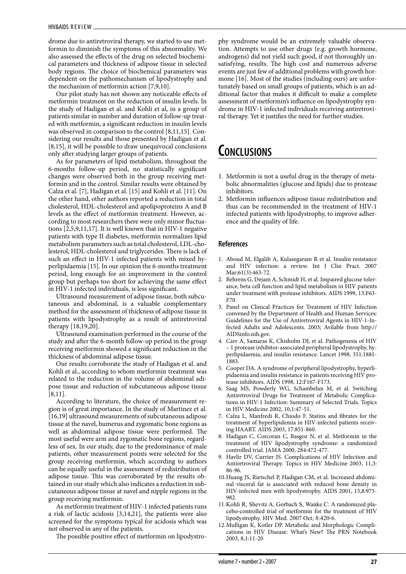drome due to antiretroviral therapy, we started to use metformin to diminish the symptoms of this abnormality. We also assessed the effects of the drug on selected biochemical parameters and thickness of adipose tissue in selected body regions. The choice of biochemical parameters was dependent on the pathomechanism of lipodystrophy and the mechanism of metformin action [7,9,10].

Our pilot study has not shown any noticeable effects of metformin treatment on the reduction of insulin levels. In the study of Hadigan et al. and Kohli et al, in a group of patients similar in number and duration of follow-up treated with metformin, a significant reduction in insulin levels was observed in comparison to the control [8,11,15]. Considering our results and those presented by Hadigan et al. [8,15], it will be possible to draw unequivocal conclusions only after studying larger groups of patients.

As for parameters of lipid metabolism, throughout the 6-months follow-up period, no statistically significant changes were observed both in the group receiving metformin and in the control. Similar results were obtained by Calza et al. [7], Hadigan et al. [15] and Kohli et al. [11]. On the other hand, other authors reported a reduction in total cholesterol, HDL-cholesterol and apolipoproteins A and B levels as the effect of metformin treatment. However, according to most researchers there were only minor fluctuations [2,5,9,11,17]. It is well known that in HIV-1 negative patients with type II diabetes, metformin normalizes lipid metabolism parameters such as total cholesterol, LDL-cholesterol, HDL-cholesterol and triglycerides. There is lack of such an effect in HIV-1 infected patients with mixed hyperlipidaemia [15]. In our opinion the 6-months treatment period, long enough for an improvement in the control group but perhaps too short for achieving the same effect in HIV-1 infected individuals, is less significant.

Ultrasound measurement of adipose tissue, both subcutaneous and abdominal, is a valuable complementary method for the assessment of thickness of adipose tissue in patients with lipodystrophy as a result of antiretroviral therapy [18,19,20].

Ultrasound examination performed in the course of the study and after the 6-month follow-up period in the group receiving metformin showed a significant reduction in the thickness of abdominal adipose tissue.

Our results corroborate the study of Hadigan et al. and Kohli et al., according to whom metformin treatment was related to the reduction in the volume of abdominal adipose tissue and reduction of subcutaneous adipose tissue [8,11].

According to literature, the choice of measurement region is of great importance. In the study of Martinez et al. [16,19] ultrasound measurements of subcutaneous adipose tissue at the navel, humerus and zygomatic bone regions as well as abdominal adipose tissue were performed. The most useful were arm and zygomatic bone regions, regardless of sex. In our study, due to the predominance of male patients, other measurement points were selected for the group receiving metformin, which according to authors can be equally useful in the assessment of redistribution of adipose tissue. This was corroborated by the results obtained in our study which also indicates a reduction in subcutaneous adipose tissue at navel and nipple regions in the group receiving metformin.

As metformin treatment of HIV-1 infected patients runs a risk of lactic acidosis [3,14,21], the patients were also screened for the symptoms typical for acidosis which was not observed in any of the patients.

The possible positive effect of metformin on lipodystro-

phy syndrome would be an extremely valuable observation. Attempts to use other drugs (e.g. growth hormone, androgens) did not yield such good, if not thoroughly unsatisfying, results. The high cost and numerous adverse events are just few of additional problems with growth hormone [16]. Most of the studies (including ours) are unfortunately based on small groups of patients, which is an additional factor that makes it difficult to make a complete assessment of metformin's influence on lipodystrophy syndrome in HIV-1 infected individuals receiving antiretroviral therapy. Yet it justifies the need for further studies.

### **Conclusions**

- 1. Metformin is not a useful drug in the therapy of metabolic abnormalities (glucose and lipids) due to protease inhibitors.
- 2. Metformin influences adipose tissue redistribution and thus can be recommended in the treatment of HIV-1 infected patients with lipodystrophy, to improve adherence and the quality of life.

- 1. Aboud M, Elgalib A, Kulasegaram R et al. Insulin resistance and HIV infection: a review. Int J Clin Pract. 2007 Mar;61(3):463-72.
- 2. Behrens G, Dejam A, Schmidt H, et al. Impaired glucose tolerance, beta cell function and lipid metabolism in HIV patients under treatment with protease inhibitors. AIDS 1999, 13:F63- F70.
- 3. Panel on Clinical Practices for Treatment of HIV Infection convened by the Department of Health and Human Services: Guidelines for the Use of Antiretroviral Agents in HIV-1-Infected Adults and Adolescents. 2003; Avilable from http:// AIDSinfo.nih.gov.
- 4. Carr A, Samaras K, Chisholm DJ, et al. Pathogenesis of HIV – 1 protease inhibitor-associated peripheral lipodystrophy, hyperlipidaemia, and insulin resistance. Lancet 1998, 351:1881- 1883.
- 5. Cooper DA. A syndrome of peripheral lipodystrophy, hyperlipidaemia and insulin resistance in patients receiving HIV protease inhibitors. AIDS 1998, 12:F167-F173.
- 6. Saag MS, Powderly WG, Schambelan M, et al. Switching Antiretroviral Drugs for Treatment of Metabolic Complications in HIV-1 Infection: Summary of Selected Trials. Topics in HIV Medicine 2002, 10,1:47-51.
- 7. Calza L, Manfredi R, Chiodo F. Statins and fibrates for the treatment of hyperlipidemia in HIV-infected patients receiving HAART. AIDS 2003, 17:851-860.
- 8. Hadigan C, Corcoran C, Basgoz N, et al. Metformin in the treatment of HIV lipodystrophy syndrome: a randomized controlled trial. JAMA 2000, 284:472-477.
- 9. Havlir DV, Currier JS. Complications of HIV Infection and Antiretroviral Therapy. Topics in HIV Medicine 2003, 11,3: 86-96.
- 10.Huang JS, Rietschel P, Hadigan CM, et al. Increased abdominal visceral fat is associated with reduced bone density in HIV-infected men with lipodystrophy. AIDS 2001, 15,8:975- 982.
- 11.Kohli R, Shevitz A, Gorbach S, Wanke C: A randomized placebo-controlled trial of metformin for the treatment of HIV lipodystrophy. HIV Med. 2007 Oct; 8:420-6.
- 12.Mulligan K, Kotler DP. Metabolic and Morphologic Complications in HIV Disease: What's New? The PRN Notebook 2003, 8,1:11-20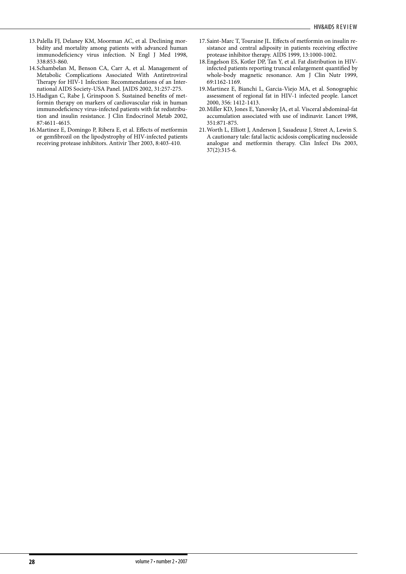- 13.Palella FJ, Delaney KM, Moorman AC, et al. Declining morbidity and mortality among patients with advanced human immunodeficiency virus infection. N Engl J Med 1998, 338:853-860.
- 14.Schambelan M, Benson CA, Carr A, et al. Management of Metabolic Complications Associated With Antiretroviral Therapy for HIV-1 Infection: Recommendations of an International AIDS Society-USA Panel. JAIDS 2002, 31:257-275.
- 15.Hadigan C, Rabe J, Grinspoon S. Sustained benefits of metformin therapy on markers of cardiovascular risk in human immunodeficiency virus-infected patients with fat redistribution and insulin resistance. J Clin Endocrinol Metab 2002, 87:4611-4615.
- 16.Martinez E, Domingo P, Ribera E, et al. Effects of metformin or gemfibrozil on the lipodystrophy of HIV-infected patients receiving protease inhibitors. Antivir Ther 2003, 8:403-410.
- 17.Saint-Marc T, Touraine JL. Effects of metformin on insulin resistance and central adiposity in patients receiving effective protease inhibitor therapy. AIDS 1999, 13:1000-1002.
- 18.Engelson ES, Kotler DP, Tan Y, et al. Fat distribution in HIVinfected patients reporting truncal enlargement quantified by whole-body magnetic resonance. Am J Clin Nutr 1999, 69:1162-1169.
- 19.Martinez E, Bianchi L, Garcia-Viejo MA, et al. Sonographic assessment of regional fat in HIV-1 infected people. Lancet 2000, 356: 1412-1413.
- 20.Miller KD, Jones E, Yanovsky JA, et al. Visceral abdominal-fat accumulation associated with use of indinavir. Lancet 1998, 351:871-875.
- 21.Worth L, Elliott J, Anderson J, Sasadeusz J, Street A, Lewin S. A cautionary tale: fatal lactic acidosis complicating nucleoside analogue and metformin therapy. Clin Infect Dis 2003, 37(2):315-6.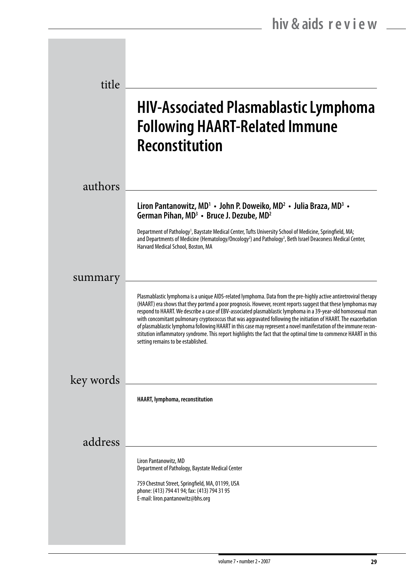| title     |                                                                                                                                                                                                                                                                                                                                                                                                                                                                                                                                                                                                                                                                                                                                                     |
|-----------|-----------------------------------------------------------------------------------------------------------------------------------------------------------------------------------------------------------------------------------------------------------------------------------------------------------------------------------------------------------------------------------------------------------------------------------------------------------------------------------------------------------------------------------------------------------------------------------------------------------------------------------------------------------------------------------------------------------------------------------------------------|
|           | <b>HIV-Associated Plasmablastic Lymphoma</b><br><b>Following HAART-Related Immune</b><br><b>Reconstitution</b>                                                                                                                                                                                                                                                                                                                                                                                                                                                                                                                                                                                                                                      |
| authors   |                                                                                                                                                                                                                                                                                                                                                                                                                                                                                                                                                                                                                                                                                                                                                     |
|           | Liron Pantanowitz, MD <sup>1</sup> • John P. Doweiko, MD <sup>2</sup> • Julia Braza, MD <sup>3</sup> •<br>German Pihan, MD <sup>3</sup> · Bruce J. Dezube, MD <sup>2</sup>                                                                                                                                                                                                                                                                                                                                                                                                                                                                                                                                                                          |
|           | Department of Pathology <sup>1</sup> , Baystate Medical Center, Tufts University School of Medicine, Springfield, MA;<br>and Departments of Medicine (Hematology/Oncology <sup>2</sup> ) and Pathology <sup>3</sup> , Beth Israel Deaconess Medical Center,<br>Harvard Medical School, Boston, MA                                                                                                                                                                                                                                                                                                                                                                                                                                                   |
| summary   |                                                                                                                                                                                                                                                                                                                                                                                                                                                                                                                                                                                                                                                                                                                                                     |
|           | Plasmablastic lymphoma is a unique AIDS-related lymphoma. Data from the pre-highly active antiretroviral therapy<br>(HAART) era shows that they portend a poor prognosis. However, recent reports suggest that these lymphomas may<br>respond to HAART. We describe a case of EBV-associated plasmablastic lymphoma in a 39-year-old homosexual man<br>with concomitant pulmonary cryptococcus that was aggravated following the initiation of HAART. The exacerbation<br>of plasmablastic lymphoma following HAART in this case may represent a novel manifestation of the immune recon-<br>stitution inflammatory syndrome. This report highlights the fact that the optimal time to commence HAART in this<br>setting remains to be established. |
| key words |                                                                                                                                                                                                                                                                                                                                                                                                                                                                                                                                                                                                                                                                                                                                                     |
|           | HAART, lymphoma, reconstitution                                                                                                                                                                                                                                                                                                                                                                                                                                                                                                                                                                                                                                                                                                                     |
| address   |                                                                                                                                                                                                                                                                                                                                                                                                                                                                                                                                                                                                                                                                                                                                                     |
|           | Liron Pantanowitz, MD<br>Department of Pathology, Baystate Medical Center                                                                                                                                                                                                                                                                                                                                                                                                                                                                                                                                                                                                                                                                           |
|           | 759 Chestnut Street, Springfield, MA, 01199, USA<br>phone: (413) 794 41 94; fax: (413) 794 31 95<br>E-mail: liron.pantanowitz@bhs.org                                                                                                                                                                                                                                                                                                                                                                                                                                                                                                                                                                                                               |
|           |                                                                                                                                                                                                                                                                                                                                                                                                                                                                                                                                                                                                                                                                                                                                                     |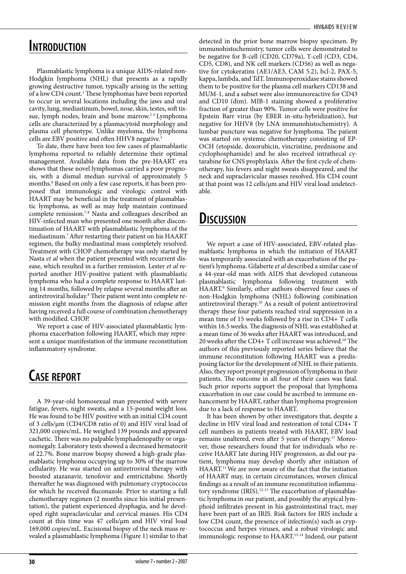#### **Introduction**

Plasmablastic lymphoma is a unique AIDS-related non-Hodgkin lymphoma (NHL) that presents as a rapidly growing destructive tumor, typically arising in the setting of a low CD4 count.1 These lymphomas have been reported to occur in several locations including the jaws and oral cavity, lung, mediastinum, bowel, nose, skin, testes, soft tissue, lymph nodes, brain and bone marrow.<sup>2-5</sup> Lymphoma cells are characterized by a plasmacytoid morphology and plasma cell phenotype. Unlike myeloma, the lymphoma cells are EBV positive and often HHV8 negative.5

To date, there have been too few cases of plasmablastic lymphoma reported to reliably determine their optimal management. Available data from the pre-HAART era shows that these novel lymphomas carried a poor prognosis, with a dismal median survival of approximately 5 months.6 Based on only a few case reports, it has been proposed that immunologic and virologic control with HAART may be beneficial in the treatment of plasmablastic lymphoma, as well as may help maintain continued complete remission.7-8 Nasta and colleagues described an HIV-infected man who presented one month after discontinuation of HAART with plasmablastic lymphoma of the mediastinum.7 After restarting their patient on his HAART regimen, the bulky mediastinal mass completely resolved. Treatment with CHOP chemotherapy was only started by Nasta *et al* when the patient presented with recurrent disease, which resulted in a further remission. Lester *et al* reported another HIV-positive patient with plasmablastic lymphoma who had a complete response to HAART lasting 14 months, followed by relapse several months after an antiretroviral holiday.8 Their patient went into complete remission eight months from the diagnosis of relapse after having received a full course of combination chemotherapy with modified. CHOP.

We report a case of HIV-associated plasmablastic lymphoma exacerbation following HAART, which may represent a unique manifestation of the immune reconstitution inflammatory syndrome.

### **Case report**

A 39-year-old homosexual man presented with severe fatigue, fevers, night sweats, and a 15-pound weight loss. He was found to be HIV positive with an initial CD4 count of 3 cells/μm (CD4/CD8 ratio of 0) and HIV viral load of 321,000 copies/mL. He weighed 139 pounds and appeared cachetic. There was no palpable lymphadenopathy or organomegaly. Laboratory tests showed a decreased hematocrit of 22.7%. Bone marrow biopsy showed a high-grade plasmablastic lymphoma occupying up to 30% of the marrow cellularity. He was started on antiretroviral therapy with boosted atazanavir, tenofovir and emtricitabine. Shortly thereafter he was diagnosed with pulmonary cryptococcus for which he received fluconazole. Prior to starting a full chemotherapy regimen (2 months since his initial presentation), the patient experienced dysphagia, and he developed right supraclavicular and cervical masses. His CD4 count at this time was 47 cells/μm and HIV viral load 169,000 copies/mL. Excisional biopsy of the neck mass revealed a plasmablastic lymphoma (Figure 1) similar to that

detected in the prior bone marrow biopsy specimen. By immunohistochemistry, tumor cells were demonstrated to be negative for B-cell (CD20, CD79a), T-cell (CD3, CD4, CD5, CD8), and NK cell markers (CD56) as well as negative for cytokeratins (AE1/AE3, CAM 5.2), bcl-2, PAX-5, kappa, lambda, and TdT. Immunoperoxidase stains showed them to be positive for the plasma cell markers CD138 and MUM-1, and a subset were also immunoreactive for CD43 and CD10 (dim). MIB-1 staining showed a proliferative fraction of greater than 90%. Tumor cells were positive for Epstein Barr virus (by EBER in-situ-hybridization), but negative for HHV8 (by LNA immunohistochemistry). A lumbar puncture was negative for lymphoma. The patient was started on systemic chemotherapy consisting of EP-OCH (etopside, doxorubicin, vincristine, prednisone and cyclophosphamide) and he also received intrathecal cytarabine for CNS prophylaxis. After the first cycle of chemotherapy, his fevers and night sweats disappeared, and the neck and supraclavicular masses resolved. His CD4 count at that point was 12 cells/μm and HIV viral load undetectable.

### **Discussion**

We report a case of HIV-associated, EBV-related plasmablastic lymphoma in which the initiation of HAART was temporarily associated with an exacerbation of the patient's lymphoma. Gilaberte *et al* described a similar case of a 44-year-old man with AIDS that developed cutaneous plasmablastic lymphoma following treatment with HAART.<sup>9</sup> Similarly, other authors observed four cases of non-Hodgkin lymphoma (NHL) following combination antiretroviral therapy.10 As a result of potent antiretroviral therapy these four patients reached viral suppression in a mean time of 15 weeks followed by a rise in CD4+ T cells within 16.5 weeks. The diagnosis of NHL was established at a mean time of 36 weeks after HAART was introduced, and 20 weeks after the CD4+ T cell increase was achieved.<sup>10</sup> The authors of this previously reported series believe that the immune reconstitution following HAART was a predisposing factor for the development of NHL in their patients. Also, they report prompt progression of lymphoma in their patients. The outcome in all four of their cases was fatal. Such prior reports support the proposal that lymphoma exacerbation in our case could be ascribed to immune enhancement by HAART, rather than lymphoma progression due to a lack of response to HAART.

It has been shown by other investigators that, despite a decline in HIV viral load and restoration of total CD4+ T cell numbers in patients treated with HAART, EBV load remains unaltered, even after 5 years of therapy.<sup>11</sup> Moreover, those researchers found that for individuals who receive HAART late during HIV progression, as did our patient, lymphoma may develop shortly after initiation of HAART.11 We are now aware of the fact that the initiation of HAART may, in certain circumstances, worsen clinical findings as a result of an immune reconstitution inflammatory syndrome (IRIS).<sup>12-13</sup> The exacerbation of plasmablastic lymphoma in our patient, and possibly the atypical lymphoid infiltrates present in his gastrointestinal tract, may have been part of an IRIS. Risk factors for IRIS include a low CD4 count, the presence of infection(s) such as cryptococcus and herpes viruses, and a robust virologic and immunologic response to HAART.13-14 Indeed, our patient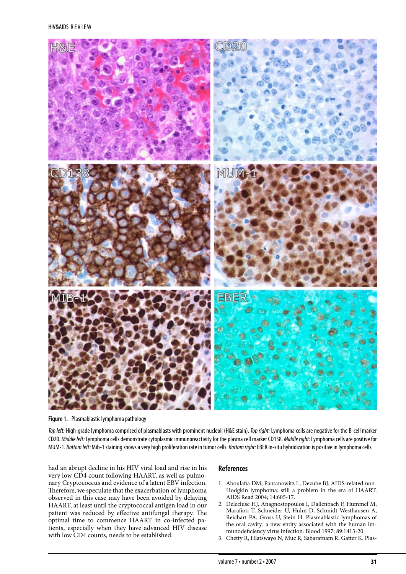

**Figure 1.** Plasmablastic lymphoma pathology

*Top left:* High-grade lymphoma comprised of plasmablasts with prominent nucleoli (H&E stain). *Top right:* Lymphoma cells are negative for the B-cell marker CD20. *Middle left:* Lymphoma cells demonstrate cytoplasmic immunoreactivity for the plasma cell marker CD138. *Middle right:* Lymphoma cells are positive for MUM-1. *Bottom left:* Mib-1 staining shows a very high proliferation rate in tumor cells. *Bottom right:* EBER in-situ hybridization is positive in lymphoma cells.

had an abrupt decline in his HIV viral load and rise in his very low CD4 count following HAART, as well as pulmonary Cryptococcus and evidence of a latent EBV infection. Therefore, we speculate that the exacerbation of lymphoma observed in this case may have been avoided by delaying HAART, at least until the cryptococcal antigen load in our patient was reduced by effective antifungal therapy. The optimal time to commence HAART in co-infected patients, especially when they have advanced HIV disease with low CD4 counts, needs to be established.

- 1. Aboulafia DM, Pantanowitz L, Dezube BJ. AIDS-related non-Hodgkin lymphoma: still a problem in the era of HAART. AIDS Read 2004; 14:605-17.
- 2. Delecluse HJ, Anagnostopoulos I, Dallenbach F, Hummel M, Marafioti T, Schneider U, Huhn D, Schmidt-Westhausen A, Reichart PA, Gross U, Stein H. Plasmablastic lymphomas of the oral cavity: a new entity associated with the human immunodeficiency virus infection. Blood 1997; 89:1413-20.
- 3. Chetty R, Hlatswayo N, Muc R, Sabaratnam R, Gatter K. Plas-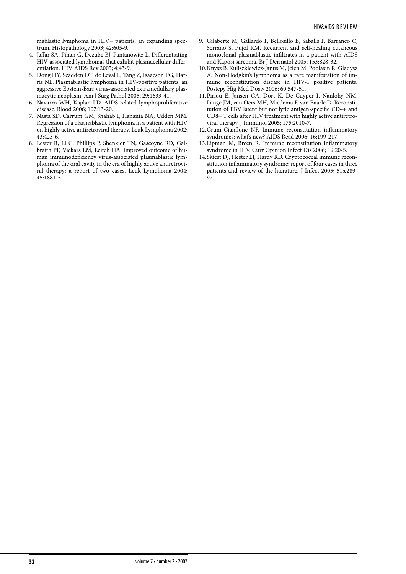mablastic lymphoma in HIV+ patients: an expanding spectrum. Histopathology 2003; 42:605-9.

- 4. Jaffar SA, Pihan G, Dezube BJ, Pantanowitz L. Differentiating HIV-associated lymphomas that exhibit plasmacellular differentiation. HIV AIDS Rev 2005; 4:43-9.
- 5. Dong HY, Scadden DT, de Leval L, Tang Z, Isaacson PG, Harris NL. Plasmablastic lymphoma in HIV-positive patients: an aggressive Epstein-Barr virus-associated extramedullary plasmacytic neoplasm. Am J Surg Pathol 2005; 29:1633-41.
- 6. Navarro WH, Kaplan LD. AIDS-related lymphoproliferative disease. Blood 2006; 107:13-20.
- 7. Nasta SD, Carrum GM, Shahab I, Hanania NA, Udden MM. Regression of a plasmablastic lymphoma in a patient with HIV on highly active antiretroviral therapy. Leuk Lymphoma 2002; 43:423-6.
- 8. Lester R, Li C, Phillips P, Shenkier TN, Gascoyne RD, Galbraith PF, Vickars LM, Leitch HA. Improved outcome of human immunodeficiency virus-associated plasmablastic lymphoma of the oral cavity in the era of highly active antiretroviral therapy: a report of two cases. Leuk Lymphoma 2004; 45:1881-5.
- 9. Gilaberte M, Gallardo F, Bellosillo B, Saballs P, Barranco C, Serrano S, Pujol RM. Recurrent and self-healing cutaneous monoclonal plasmablastic infiltrates in a patient with AIDS and Kaposi sarcoma. Br J Dermatol 2005; 153:828-32.
- 10.Knysz B, Kuliszkiewicz-Janus M, Jelen M, Podlasin R, Gladysz A. Non-Hodgkin's lymphoma as a rare manifestation of immune reconstitution disease in HIV-1 positive patients. Postepy Hig Med Dosw 2006; 60:547-51.
- 11.Piriou E, Jansen CA, Dort K, De Cuyper I, Nanlohy NM, Lange JM, van Oers MH, Miedema F, van Baarle D. Reconstitution of EBV latent but not lytic antigen-specific CD4+ and CD8+ T cells after HIV treatment with highly active antiretroviral therapy. J Immunol 2005; 175:2010-7.
- 12.Crum-Cianflone NF. Immune reconstitution inflammatory syndromes: what's new? AIDS Read 2006; 16:199-217.
- 13.Lipman M, Breen R. Immune reconstitution inflammatory syndrome in HIV. Curr Opinion Infect Dis 2006; 19:20-5.
- 14.Skiest DJ, Hester LJ, Hardy RD. Cryptococcal immune reconstitution inflammatory syndrome: report of four cases in three patients and review of the literature. J Infect 2005; 51:e289- 97.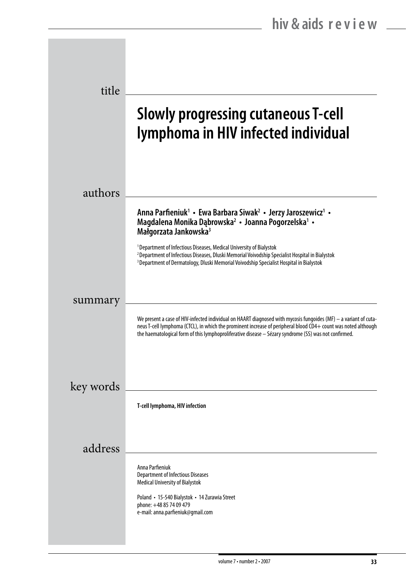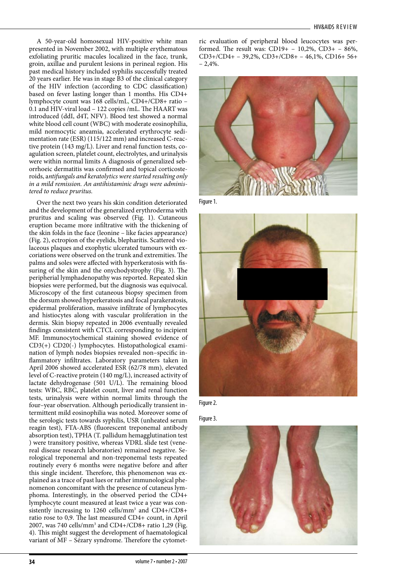A 50-year-old homosexual HIV-positive white man presented in November 2002, with multiple erythematous exfoliating pruritic macules localized in the face, trunk, groin, axillae and purulent lesions in perineal region. His past medical history included syphilis successfully treated 20 years earlier. He was in stage B3 of the clinical category of the HIV infection (according to CDC classification) based on fever lasting longer than 1 months. His CD4+ lymphocyte count was 168 cells/mL, CD4+/CD8+ ratio – 0.1 and HIV-viral load – 122 copies /mL. The HAART was introduced (ddI, d4T, NFV). Blood test showed a normal white blood cell count (WBC) with moderate eosinophilia, mild normocytic aneamia, accelerated erythrocyte sedimentation rate (ESR) (115/122 mm) and increased C-reactive protein (143 mg/L). Liver and renal function tests, coagulation screen, platelet count, electrolytes, and urinalysis were within normal limits A diagnosis of generalized seborrhoeic dermatitis was confirmed and topical corticosteroids, a*ntifungals and keratolytics were started resulting only in a mild remission. An antihistaminic drugs were administered to reduce pruritus.*

Over the next two years his skin condition deteriorated and the development of the generalized erythroderma with pruritus and scaling was observed (Fig. 1). Cutaneous eruption became more infiltrative with the thickening of the skin folds in the face (leonine – like facies appearance) (Fig. 2), ectropion of the eyelids, blepharitis. Scattered violaceous plaques and exophytic ulcerated tumours with excoriations were observed on the trunk and extremities. The palms and soles were affected with hyperkeratosis with fissuring of the skin and the onychodystrophy (Fig. 3). The peripherial lymphadenopathy was reported. Repeated skin biopsies were performed, but the diagnosis was equivocal. Microscopy of the first cutaneous biopsy specimen from the dorsum showed hyperkeratosis and focal parakeratosis, epidermal proliferation, massive infiltrate of lymphocytes and histiocytes along with vascular proliferation in the dermis. Skin biopsy repeated in 2006 eventually revealed findings consistent with CTCL corresponding to incipient MF. Immunocytochemical staining showed evidence of CD3(+) CD20(-) lymphocytes. Histopathological examination of lymph nodes biopsies revealed non–specific inflammatory infiltrates. Laboratory parameters taken in April 2006 showed accelerated ESR (62/78 mm), elevated level of C-reactive protein (140 mg/L), increased activity of lactate dehydrogenase (501 U/L). The remaining blood tests: WBC, RBC, platelet count, liver and renal function tests, urinalysis were within normal limits through the four–year observation. Although periodically transient intermittent mild eosinophilia was noted. Moreover some of the serologic tests towards syphilis, USR (unheated serum reagin test), FTA-ABS (fluorescent treponemal antibody absorption test), TPHA (T. pallidum hemagglutination test ) were transitory positive, whereas VDRL slide test (venereal disease research laboratories) remained negative. Serological treponemal and non-treponemal tests repeated routinely every 6 months were negative before and after this single incident. Therefore, this phenomenon was explained as a trace of past lues or rather immunological phenomenon concomitant with the presence of cutaneus lymphoma. Interestingly, in the observed period the CD4+ lymphocyte count measured at least twice a year was consistently increasing to 1260 cells/mm<sup>3</sup> and CD4+/CD8+ ratio rose to 0,9. The last measured CD4+ count, in April 2007, was 740 cells/mm3 and CD4+/CD8+ ratio 1,29 (Fig. 4). This might suggest the development of haematological variant of MF – Sézary syndrome. Therefore the cytometric evaluation of peripheral blood leucocytes was performed. The result was: CD19+ – 10,2%, CD3+ – 86%, CD3+/CD4+ – 39,2%, CD3+/CD8+ – 46,1%, CD16+ 56+  $-2,4%$ .



Figure 1.



Figure 2.

Figure 3.

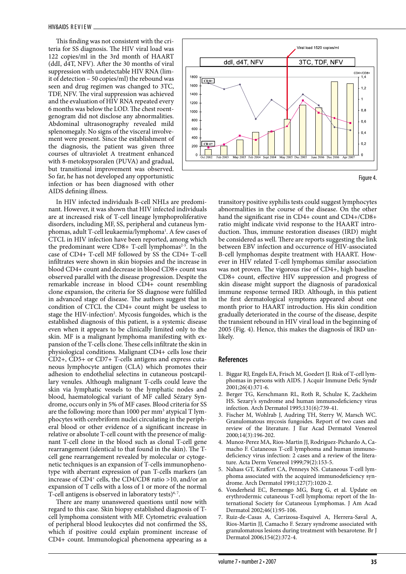This finding was not consistent with the criteria for SS diagnosis. The HIV viral load was 122 copies/ml in the 3rd month of HAART (ddI, d4T, NFV). After the 30 months of viral suppression with undetectable HIV RNA (limit of detection – 50 copies/ml) the rebound was seen and drug regimen was changed to 3TC, TDF, NFV. The viral suppression was achieved and the evaluation of HIV RNA repeated every 6 months was below the LOD. The chest roentgenogram did not disclose any abnormalities. Abdominal ultrasonography revealed mild splenomegaly. No signs of the visceral involvement were present. Since the establishment of the diagnosis, the patient was given three courses of ultraviolet A treatment enhanced with 8-metoksypsoralen (PUVA) and gradual, but transitional improvement was observed. So far, he has not developed any opportunistic infection or has been diagnosed with other AIDS defining illness.

In HIV infected individuals B-cell NHLs are predominant. However, it was shown that HIV infected individuals are at increased risk of T-cell lineage lymphoproliferative disorders, including MF, SS, peripheral and cutaneus lymphomas, adult T-cell leukaemia/lymphoma<sup>1</sup>. A few cases of CTCL in HIV infection have been reported, among which the predominant were CD8+ T-cell lymphomas<sup>2-5</sup>. In the case of CD4+ T-cell MF followed by SS the CD4+ T-cell infiltrates were shown in skin biopsies and the increase in blood CD4+ count and decrease in blood CD8+ count was observed parallel with the disease progression. Despite the remarkable increase in blood CD4+ count resembling clone expansion, the criteria for SS diagnose were fulfilled in advanced stage of disease. The authors suggest that in condition of CTCL the CD4+ count might be useless to stage the HIV-infection<sup>2</sup>. Mycosis fungoides, which is the established diagnosis of this patient, is a systemic disease even when it appears to be clinically limited only to the skin. MF is a malignant lymphoma manifesting with expansion of the T-cells clone. These cells infiltrate the skin in physiological conditions. Malignant CD4+ cells lose their CD2+, CD5+ or CD7+ T-cells antigens and express cutaneous lymphocyte antigen (CLA) which promotes their adhesion to endothelial selectins in cutaneous postcapillary venules. Although malignant T-cells could leave the skin via lymphatic vessels to the lymphatic nodes and blood, haematological variant of MF called Sézary Syndrome, occurs only in 5% of MF cases. Blood criteria for SS are the following: more than 1000 per mm<sup>3</sup> atypical T lymphocytes with cerebriform nuclei circulating in the peripheral blood or other evidence of a significant increase in relative or absolute T-cell count with the presence of malignant T-cell clone in the blood such as clonal T-cell gene rearrangement (identical to that found in the skin). The Tcell gene rearrangement revealed by molecular or cytogenetic techniques is an expansion of T-cells immunophenotype with aberrant expression of pan T-cells markers (an increase of CD4<sup>+</sup> cells, the CD4/CD8 ratio >10, and/or an expansion of T cells with a loss of 1 or more of the normal T-cell antigens is observed in laboratory tests) $6, 7$ .

There are many unanswered questions until now with regard to this case. Skin biopsy established diagnosis of Tcell lymphoma consistent with MF. Cytometric evaluation of peripheral blood leukocytes did not confirmed the SS, which if positive could explain prominent increase of CD4+ count. Immunological phenomena appearing as a



transitory positive syphilis tests could suggest lymphocytes abnormalities in the course of the disease. On the other hand the significant rise in CD4+ count and CD4+/CD8+ ratio might indicate vivid response to the HAART introduction. Thus, immune restoration diseases (IRD) might be considered as well. There are reports suggesting the link between EBV infection and occurrence of HIV-associated B-cell lymphomas despite treatment with HAART. However in HIV related T-cell lymphomas similar association was not proven. The vigorous rise of CD4+, high baseline CD8+ count, effective HIV suppression and progress of skin disease might support the diagnosis of paradoxical immune response termed IRD. Although, in this patient the first dermatological symptoms appeared about one month prior to HAART introduction. His skin condition gradually deteriorated in the course of the disease, despite the transient rebound in HIV viral load in the beginning of 2005 (Fig. 4). Hence, this makes the diagnosis of IRD unlikely.

- 1. Biggar RJ, Engels EA, Frisch M, Goedert JJ. Risk of T-cell lymphomas in persons with AIDS. J Acquir Immune Defic Syndr 2001;26(4):371-6.
- 2. Berger TG, Kerschmann RL, Roth R, Schulze K, Zackheim HS. Sezary's syndrome and human immunodeficiency virus infection. Arch Dermatol 1995;131(6):739-41.
- 3. Fischer M, Wohlrab J, Audring TH, Sterry W, Marsch WC. Granulomatous mycosis fungoides. Report of two cases and review of the literature. J Eur Acad Dermatol Venereol 2000;14(3):196-202.
- 4. Munoz-Perez MA, Rios-Martin JJ, Rodriguez-Pichardo A, Camacho F. Cutaneous T-cell lymphoma and human immunodeficiency virus infection: 2 cases and a review of the literature. Acta Derm Venereol 1999;79(2):153-5.
- 5. Nahass GT, Kraffert CA, Penneys NS. Cutaneous T-cell lymphoma associated with the acquired immunodeficiency syndrome. Arch Dermatol 1991;127(7):1020-2.
- 6. Vonderheid EC, Bernengo MG, Burg G, et al. Update on erythrodermic cutaneous T-cell lymphoma: report of the International Society for Cutaneous Lymphomas. J Am Acad Dermatol 2002;46(1):95-106.
- 7. Ruiz-de-Casas A, Carrizosa-Esquivel A, Herrera-Saval A, Rios-Martin JJ, Camacho F. Sezary syndrome associated with granulomatous lesions during treatment with bexarotene. Br J Dermatol 2006;154(2):372-4.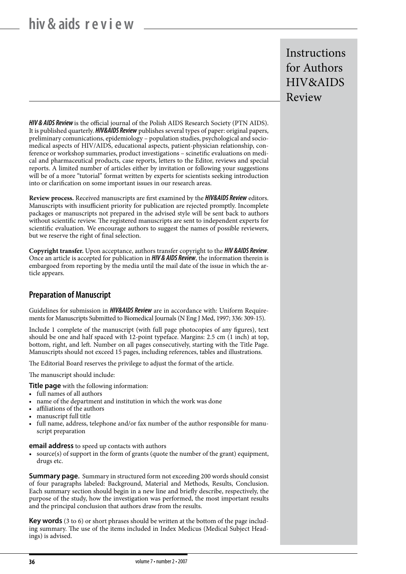Instructions for Authors HIV&AIDS Review

*HIV & AIDS Review* is the official journal of the Polish AIDS Research Society (PTN AIDS). It is published quarterly. *HIV&AIDS Review* publishes several types of paper: original papers, preliminary comunications, epidemiology – population studies, psychological and sociomedical aspects of HIV/AIDS, educational aspects, patient-physician relationship, conference or workshop summaries, product investigations – scinetific evaluations on medical and pharmaceutical products, case reports, letters to the Editor, reviews and special reports. A limited number of articles either by invitation or following your suggestions will be of a more "tutorial" format written by experts for scientists seeking introduction into or clarification on some important issues in our research areas.

**Review process.** Received manuscripts are first examined by the *HIV&AIDS Review* editors. Manuscripts with insufficient priority for publication are rejected promptly. Incomplete packages or manuscripts not prepared in the advised style will be sent back to authors without scientific review. The registered manuscripts are sent to independent experts for scientific evaluation. We encourage authors to suggest the names of possible reviewers, but we reserve the right of final selection.

**Copyright transfer.** Upon acceptance, authors transfer copyright to the *HIV &AIDS Review*. Once an article is accepted for publication in *HIV & AIDS Review*, the information therein is embargoed from reporting by the media until the mail date of the issue in which the article appears.

#### **Preparation of Manuscript**

Guidelines for submission in *HIV&AIDS Review* are in accordance with: Uniform Requirements for Manuscripts Submitted to Biomedical Journals (N Eng J Med, 1997; 336: 309-15).

Include 1 complete of the manuscript (with full page photocopies of any figures), text should be one and half spaced with 12-point typeface. Margins: 2.5 cm (1 inch) at top, bottom, right, and left. Number on all pages consecutively, starting with the Title Page. Manuscripts should not exceed 15 pages, including references, tables and illustrations.

The Editorial Board reserves the privilege to adjust the format of the article.

The manuscript should include:

**Title page** with the following information:

- full names of all authors
- name of the department and institution in which the work was done
- affiliations of the authors
- manuscript full title
- full name, address, telephone and/or fax number of the author responsible for manuscript preparation

**email address** to speed up contacts with authors

• source(s) of support in the form of grants (quote the number of the grant) equipment, drugs etc.

**Summary page.** Summary in structured form not exceeding 200 words should consist of four paragraphs labeled: Background, Material and Methods, Results, Conclusion. Each summary section should begin in a new line and briefly describe, respectively, the purpose of the study, how the investigation was performed, the most important results and the principal conclusion that authors draw from the results.

**Key words** (3 to 6) or short phrases should be written at the bottom of the page including summary. The use of the items included in Index Medicus (Medical Subject Headings) is advised.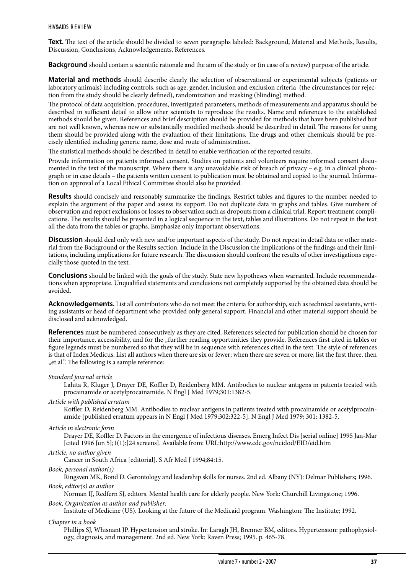**Text.** The text of the article should be divided to seven paragraphs labeled: Background, Material and Methods, Results, Discussion, Conclusions, Acknowledgements, References.

**Background** should contain a scientific rationale and the aim of the study or (in case of a review) purpose of the article.

**Material and methods** should describe clearly the selection of observational or experimental subjects (patients or laboratory animals) including controls, such as age, gender, inclusion and exclusion criteria (the circumstances for rejection from the study should be clearly defined), randomization and masking (blinding) method.

The protocol of data acquisition, procedures, investigated parameters, methods of measurements and apparatus should be described in sufficient detail to allow other scientists to reproduce the results. Name and references to the established methods should be given. References and brief description should be provided for methods that have been published but are not well known, whereas new or substantially modified methods should be described in detail. The reasons for using them should be provided along with the evaluation of their limitations. The drugs and other chemicals should be precisely identified including generic name, dose and route of administration.

The statistical methods should be described in detail to enable verification of the reported results.

Provide information on patients informed consent. Studies on patients and volunteers require informed consent documented in the text of the manuscript. Where there is any unavoidable risk of breach of privacy – e.g. in a clinical photograph or in case details – the patients written consent to publication must be obtained and copied to the journal. Information on approval of a Local Ethical Committee should also be provided.

**Results** should concisely and reasonably summarize the findings. Restrict tables and figures to the number needed to explain the argument of the paper and assess its support. Do not duplicate data in graphs and tables. Give numbers of observation and report exclusions or losses to observation such as dropouts from a clinical trial. Report treatment complications. The results should be presented in a logical sequence in the text, tables and illustrations. Do not repeat in the text all the data from the tables or graphs. Emphasize only important observations.

**Discussion** should deal only with new and/or important aspects of the study. Do not repeat in detail data or other material from the Background or the Results section. Include in the Discussion the implications of the findings and their limitations, including implications for future research. The discussion should confront the results of other investigations especially those quoted in the text.

**Conclusions** should be linked with the goals of the study. State new hypotheses when warranted. Include recommendations when appropriate. Unqualified statements and conclusions not completely supported by the obtained data should be avoided.

**Acknowledgements.** List all contributors who do not meet the criteria for authorship, such as technical assistants, writing assistants or head of department who provided only general support. Financial and other material support should be disclosed and acknowledged.

**References** must be numbered consecutively as they are cited. References selected for publication should be chosen for their importance, accessibility, and for the "further reading opportunities they provide. References first cited in tables or figure legends must be numbered so that they will be in sequence with references cited in the text. The style of references is that of Index Medicus. List all authors when there are six or fewer; when there are seven or more, list the first three, then "et al.". The following is a sample reference:

#### *Standard journal article*

Lahita R, Kluger J, Drayer DE, Koffler D, Reidenberg MM. Antibodies to nuclear antigens in patients treated with procainamide or acetylprocainamide. N Engl J Med 1979;301:1382-5.

#### *Article with published erratum*

Koffler D, Reidenberg MM. Antibodies to nuclear antigens in patients treated with procainamide or acetylprocainamide [published erratum appears in N Engl J Med 1979;302:322-5]. N Engl J Med 1979; 301: 1382-5.

*Article in electronic form*

Drayer DE, Koffler D. Factors in the emergence of infectious diseases. Emerg Infect Dis [serial online] 1995 Jan-Mar [cited 1996 Jun 5];1(1):[24 screens]. Available from: URL:http://www.cdc.gov/ncidod/EID/eid.htm

#### *Article, no author given*

Cancer in South Africa [editorial]. S Afr Med J 1994;84:15.

*Book, personal author(s)*

Ringsven MK, Bond D. Gerontology and leadership skills for nurses. 2nd ed. Albany (NY): Delmar Publishers; 1996.

*Book, editor(s) as author*

Norman IJ, Redfern SJ, editors. Mental health care for elderly people. New York: Churchill Livingstone; 1996.

#### *Book, Organization as author and publisher:*

Institute of Medicine (US). Looking at the future of the Medicaid program. Washington: The Institute; 1992.

#### *Chapter in a book*

Phillips SJ, Whisnant JP. Hypertension and stroke. In: Laragh JH, Brenner BM, editors. Hypertension: pathophysiology, diagnosis, and management. 2nd ed. New York: Raven Press; 1995. p. 465-78.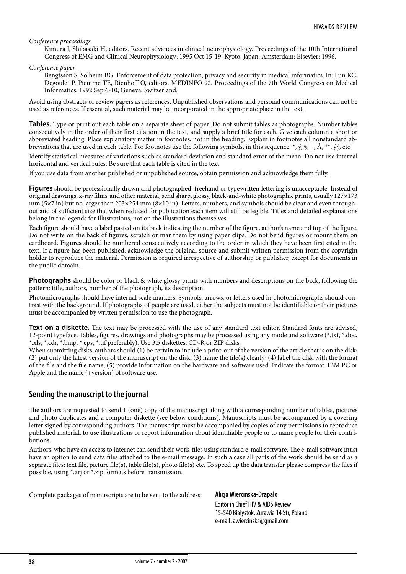#### *Conference proceedings*

Kimura J, Shibasaki H, editors. Recent advances in clinical neurophysiology. Proceedings of the 10th International Congress of EMG and Clinical Neurophysiology; 1995 Oct 15-19; Kyoto, Japan. Amsterdam: Elsevier; 1996.

*Conference paper*

Bengtsson S, Solheim BG. Enforcement of data protection, privacy and security in medical informatics. In: Lun KC, Degoulet P, Piemme TE, Rienhoff O, editors. MEDINFO 92. Proceedings of the 7th World Congress on Medical Informatics; 1992 Sep 6-10; Geneva, Switzerland.

Avoid using abstracts or review papers as references. Unpublished observations and personal communications can not be used as references. If essential, such material may be incorporated in the appropriate place in the text.

**Tables.** Type or print out each table on a separate sheet of paper. Do not submit tables as photographs. Number tables consecutively in the order of their first citation in the text, and supply a brief title for each. Give each column a short or abbreviated heading. Place explanatory matter in footnotes, not in the heading. Explain in footnotes all nonstandard abbreviations that are used in each table. For footnotes use the following symbols, in this sequence: \*, ý, §, ||, Â, \*\*, ýý, etc. Identify statistical measures of variations such as standard deviation and standard error of the mean. Do not use internal horizontal and vertical rules. Be sure that each table is cited in the text.

If you use data from another published or unpublished source, obtain permission and acknowledge them fully.

**Figures** should be professionally drawn and photographed; freehand or typewritten lettering is unacceptable. Instead of original drawings, x-ray films and other material, send sharp, glossy, black-and-white photographic prints, usually 127×173 mm (5×7 in) but no larger than 203×254 mm (8×10 in). Letters, numbers, and symbols should be clear and even throughout and of sufficient size that when reduced for publication each item will still be legible. Titles and detailed explanations belong in the legends for illustrations, not on the illustrations themselves.

Each figure should have a label pasted on its back indicating the number of the figure, author's name and top of the figure. Do not write on the back of figures, scratch or mar them by using paper clips. Do not bend figures or mount them on cardboard. **Figures** should be numbered consecutively according to the order in which they have been first cited in the text. If a figure has been published, acknowledge the original source and submit written permission from the copyright holder to reproduce the material. Permission is required irrespective of authorship or publisher, except for documents in the public domain.

**Photographs** should be color or black & white glossy prints with numbers and descriptions on the back, following the pattern: title, authors, number of the photograph, its description.

Photomicrographs should have internal scale markers. Symbols, arrows, or letters used in photomicrographs should contrast with the background. If photographs of people are used, either the subjects must not be identifiable or their pictures must be accompanied by written permission to use the photograph.

**Text on a diskette.** The text may be processed with the use of any standard text editor. Standard fonts are advised, 12-point typeface. Tables, figures, drawings and photographs may be processed using any mode and software (\*.txt, \*.doc, \*.xls, \*.cdr, \*.bmp, \*.eps, \*.tif preferably). Use 3.5 diskettes, CD-R or ZIP disks.

When submitting disks, authors should (1) be certain to include a print-out of the version of the article that is on the disk; (2) put only the latest version of the manuscript on the disk; (3) name the file(s) clearly; (4) label the disk with the format of the file and the file name; (5) provide information on the hardware and software used. Indicate the format: IBM PC or Apple and the name (+version) of software use.

#### **Sending the manuscript to the journal**

The authors are requested to send 1 (one) copy of the manuscript along with a corresponding number of tables, pictures and photo duplicates and a computer diskette (see below conditions). Manuscripts must be accompanied by a covering letter signed by corresponding authors. The manuscript must be accompanied by copies of any permissions to reproduce published material, to use illustrations or report information about identifiable people or to name people for their contributions.

Authors, who have an access to internet can send their work-files using standard e-mail software. The e-mail software must have an option to send data files attached to the e-mail message. In such a case all parts of the work should be send as a separate files: text file, picture file(s), table file(s), photo file(s) etc. To speed up the data transfer please compress the files if possible, using \*.arj or \*.zip formats before transmission.

Complete packages of manuscripts are to be sent to the address: **Alicja Wiercinska-Drapalo**

Editor in Chief HIV & AIDS Review 15-540 Bialystok, Zurawia 14 Str, Poland e-mail: awiercinska@gmail.com